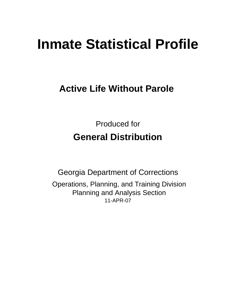# **Inmate Statistical Profile**

# **Active Life Without Parole**

Produced for **General Distribution**

11-APR-07 Georgia Department of Corrections Operations, Planning, and Training Division Planning and Analysis Section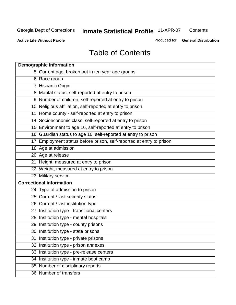**Contents** 

**Active Life Without Parole** 

Produced for **General Distribution**

# Table of Contents

| <b>Demographic information</b>                                       |
|----------------------------------------------------------------------|
| 5 Current age, broken out in ten year age groups                     |
| 6 Race group                                                         |
| 7 Hispanic Origin                                                    |
| 8 Marital status, self-reported at entry to prison                   |
| 9 Number of children, self-reported at entry to prison               |
| 10 Religious affiliation, self-reported at entry to prison           |
| 11 Home county - self-reported at entry to prison                    |
| 14 Socioeconomic class, self-reported at entry to prison             |
| 15 Environment to age 16, self-reported at entry to prison           |
| 16 Guardian status to age 16, self-reported at entry to prison       |
| 17 Employment status before prison, self-reported at entry to prison |
| 18 Age at admission                                                  |
| 20 Age at release                                                    |
| 21 Height, measured at entry to prison                               |
| 22 Weight, measured at entry to prison                               |
| 23 Military service                                                  |
| <b>Correctional information</b>                                      |
| 24 Type of admission to prison                                       |
| 25 Current / last security status                                    |
| 26 Current / last institution type                                   |
| 27 Institution type - transitional centers                           |
| 28 Institution type - mental hospitals                               |
| 29 Institution type - county prisons                                 |
| 30 Institution type - state prisons                                  |
| 31 Institution type - private prisons                                |
| 32 Institution type - prison annexes                                 |
| 33 Institution type - pre-release centers                            |
| 34 Institution type - inmate boot camp                               |
| 35 Number of disciplinary reports                                    |
| 36 Number of transfers                                               |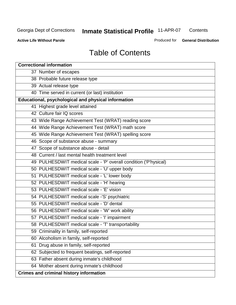**Contents** 

**Active Life Without Parole** 

Produced for **General Distribution**

# Table of Contents

| <b>Correctional information</b>                                  |
|------------------------------------------------------------------|
| 37 Number of escapes                                             |
| 38 Probable future release type                                  |
| 39 Actual release type                                           |
| 40 Time served in current (or last) institution                  |
| Educational, psychological and physical information              |
| 41 Highest grade level attained                                  |
| 42 Culture fair IQ scores                                        |
| 43 Wide Range Achievement Test (WRAT) reading score              |
| 44 Wide Range Achievement Test (WRAT) math score                 |
| 45 Wide Range Achievement Test (WRAT) spelling score             |
| 46 Scope of substance abuse - summary                            |
| 47 Scope of substance abuse - detail                             |
| 48 Current / last mental health treatment level                  |
| 49 PULHESDWIT medical scale - 'P' overall condition ('P'hysical) |
| 50 PULHESDWIT medical scale - 'U' upper body                     |
| 51 PULHESDWIT medical scale - 'L' lower body                     |
| 52 PULHESDWIT medical scale - 'H' hearing                        |
| 53 PULHESDWIT medical scale - 'E' vision                         |
| 54 PULHESDWIT medical scale -'S' psychiatric                     |
| 55 PULHESDWIT medical scale - 'D' dental                         |
| 56 PULHESDWIT medical scale - 'W' work ability                   |
| 57 PULHESDWIT medical scale - 'I' impairment                     |
| 58 PULHESDWIT medical scale - 'T' transportability               |
| 59 Criminality in family, self-reported                          |
| 60 Alcoholism in family, self-reported                           |
| Drug abuse in family, self-reported<br>61                        |
| 62 Subjected to frequent beatings, self-reported                 |
| 63 Father absent during inmate's childhood                       |
| 64 Mother absent during inmate's childhood                       |
| <b>Crimes and criminal history information</b>                   |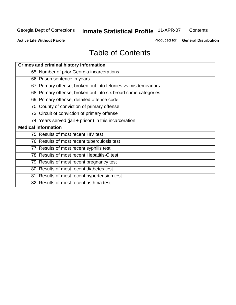**Contents** 

**Active Life Without Parole** 

Produced for **General Distribution**

# Table of Contents

| <b>Crimes and criminal history information</b>                 |
|----------------------------------------------------------------|
| 65 Number of prior Georgia incarcerations                      |
| 66 Prison sentence in years                                    |
| 67 Primary offense, broken out into felonies vs misdemeanors   |
| 68 Primary offense, broken out into six broad crime categories |
| 69 Primary offense, detailed offense code                      |
| 70 County of conviction of primary offense                     |
| 73 Circuit of conviction of primary offense                    |
| 74 Years served (jail + prison) in this incarceration          |
| <b>Medical information</b>                                     |
|                                                                |
| 75 Results of most recent HIV test                             |
| 76 Results of most recent tuberculosis test                    |
| 77 Results of most recent syphilis test                        |
| 78 Results of most recent Hepatitis-C test                     |
| 79 Results of most recent pregnancy test                       |
| 80 Results of most recent diabetes test                        |
| 81 Results of most recent hypertension test                    |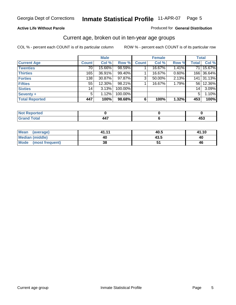#### **Active Life Without Parole**

#### Produced for **General Distribution**

### Current age, broken out in ten-year age groups

|                       |              | <b>Male</b> |         |              | <b>Female</b> |       |                 | <b>Total</b> |
|-----------------------|--------------|-------------|---------|--------------|---------------|-------|-----------------|--------------|
| <b>Current Age</b>    | <b>Count</b> | Col %       | Row %   | <b>Count</b> | Col %         | Row % | <b>Total</b>    | Col %        |
| <b>Twenties</b>       | 70           | 15.66%      | 98.59%  |              | 16.67%        | 1.41% | 71              | 15.67%       |
| <b>Thirties</b>       | 165          | 36.91%      | 99.40%  |              | 16.67%        | 0.60% |                 | 166 36.64%   |
| <b>Forties</b>        | 138          | 30.87%      | 97.87%  | $\mathbf{3}$ | 50.00%        | 2.13% | 141             | 31.13%       |
| <b>Fifties</b>        | 55           | 12.30%      | 98.21%  |              | 16.67%        | 1.79% | 561             | 12.36%       |
| <b>Sixties</b>        | 14           | 3.13%       | 100.00% |              |               |       | 14 <sub>1</sub> | 3.09%        |
| Seventy +             | 5            | 1.12%       | 100.00% |              |               |       | 5               | 1.10%        |
| <b>Total Reported</b> | 447          | 100%        | 98.68%  | 6            | 100%          | 1.32% | 453             | 100%         |

| <b>Not Reported</b>              |                                 |     |
|----------------------------------|---------------------------------|-----|
| <b>Total</b><br>$\mathbf{v}$ and | $\overline{\phantom{a}}$<br>447 | 433 |

| Mean (average)       | 41.11 | 40.5 | 41.10 |
|----------------------|-------|------|-------|
| Median (middle)      | 40    | 43.5 | 40    |
| Mode (most frequent) | 38    |      | 46    |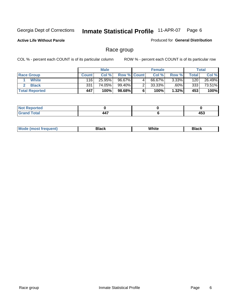**Active Life Without Parole** 

Produced for **General Distribution**

### Race group

|                       |              | <b>Male</b> |                    |   | <b>Female</b> |          |       | <b>Total</b> |
|-----------------------|--------------|-------------|--------------------|---|---------------|----------|-------|--------------|
| <b>Race Group</b>     | <b>Count</b> | Col %       | <b>Row % Count</b> |   | Col %         | Row %    | Total | Col %        |
| <b>White</b>          | 116          | 25.95%      | 96.67%             | 4 | 66.67%        | $3.33\%$ | 120   | 26.49%       |
| <b>Black</b>          | 331          | 74.05%      | 99.40%             |   | 33.33%        | $.60\%$  | 333   | 73.51%       |
| <b>Total Reported</b> | 447          | 100%        | 98.68%             |   | 100%          | 1.32%    | 453   | 100%         |

| المناسب<br><b>Portea</b> |                |        |
|--------------------------|----------------|--------|
| Control.                 | $\overline{a}$ | $AE^c$ |
| $\sim$                   | 447            |        |

| $^1$ Mo. | Rlack | White | 3lack |
|----------|-------|-------|-------|
| .        |       |       |       |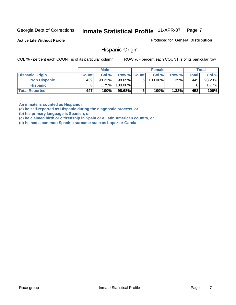**Active Life Without Parole** 

Produced for **General Distribution**

### Hispanic Origin

COL % - percent each COUNT is of its particular column ROW % - percent each COUNT is of its particular row

|                        |              | <b>Male</b> |                    |   | <b>Female</b> |          |       | <b>Total</b> |
|------------------------|--------------|-------------|--------------------|---|---------------|----------|-------|--------------|
| <b>Hispanic Origin</b> | <b>Count</b> | Col %       | <b>Row % Count</b> |   | Col %         | Row %    | Total | Col %        |
| <b>Non Hispanic</b>    | 439          | 98.21%      | 98.65%             | 6 | 100.00%       | $1.35\%$ | 445   | 98.23%       |
| <b>Hispanic</b>        |              | 1.79%       | 100.00%            |   |               |          |       | 1.77%        |
| <b>Total Reported</b>  | 447          | 100%        | 98.68%             |   | 100%          | 1.32%    | 453   | 100%         |

**An inmate is counted as Hispanic if** 

**(a) he self-reported as Hispanic during the diagnostic process, or** 

**(b) his primary language is Spanish, or** 

**(c) he claimed birth or citizenship in Spain or a Latin American country, or** 

**(d) he had a common Spanish surname such as Lopez or Garcia**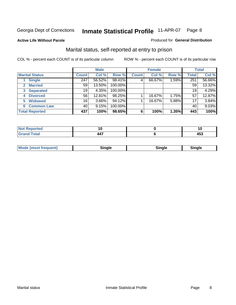**Active Life Without Parole** 

#### Produced for **General Distribution**

### Marital status, self-reported at entry to prison

|                                | <b>Male</b>     |          |         | <b>Female</b> |        |       | <b>Total</b> |        |
|--------------------------------|-----------------|----------|---------|---------------|--------|-------|--------------|--------|
| <b>Marital Status</b>          | <b>Count</b>    | Col %    | Row %   | <b>Count</b>  | Col %  | Row % | <b>Total</b> | Col %  |
| <b>Single</b>                  | 247             | 56.52%   | 98.41%  | 4             | 66.67% | 1.59% | 251          | 56.66% |
| <b>Married</b><br>$\mathbf{2}$ | 59              | 13.50%   | 100.00% |               |        |       | 59           | 13.32% |
| <b>Separated</b><br>3          | 19              | 4.35%    | 100.00% |               |        |       | 19           | 4.29%  |
| <b>Divorced</b><br>4           | 56              | 12.81%   | 98.25%  |               | 16.67% | 1.75% | 57           | 12.87% |
| <b>Widowed</b><br>5            | 16 <sub>1</sub> | $3.66\%$ | 94.12%  |               | 16.67% | 5.88% | 17           | 3.84%  |
| <b>Common Law</b><br>6         | 40              | 9.15%    | 100.00% |               |        |       | 40           | 9.03%  |
| <b>Total Reported</b>          | 437             | 100%     | 98.65%  | 6             | 100%   | 1.35% | 443          | 100%   |

|                          | . .   |
|--------------------------|-------|
| $\overline{\phantom{a}}$ | - - - |

| <b>Mode (most frequent)</b><br>Sinale<br>≒ınale |
|-------------------------------------------------|
|-------------------------------------------------|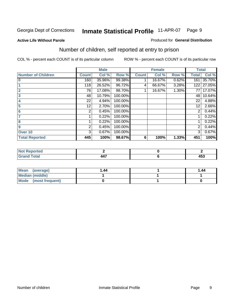#### **Active Life Without Parole**

#### Produced for **General Distribution**

### Number of children, self reported at entry to prison

|                           |              | <b>Male</b> |         |              | <b>Female</b> |          | <b>Total</b> |        |
|---------------------------|--------------|-------------|---------|--------------|---------------|----------|--------------|--------|
| <b>Number of Children</b> | <b>Count</b> | Col %       | Row %   | <b>Count</b> | Col %         | Row %    | <b>Total</b> | Col %  |
| $\bf{0}$                  | 160          | 35.96%      | 99.38%  |              | 16.67%        | 0.62%    | 161          | 35.70% |
|                           | 118          | 26.52%      | 96.72%  | 4            | 66.67%        | 3.28%    | 122          | 27.05% |
| $\overline{2}$            | 76           | 17.08%      | 98.70%  |              | 16.67%        | $1.30\%$ | 77           | 17.07% |
| 3                         | 48           | 10.79%      | 100.00% |              |               |          | 48           | 10.64% |
| 4                         | 22           | 4.94%       | 100.00% |              |               |          | 22           | 4.88%  |
| 5                         | 12           | 2.70%       | 100.00% |              |               |          | 12           | 2.66%  |
| 6                         | 2            | 0.45%       | 100.00% |              |               |          | 2            | 0.44%  |
| 7                         |              | 0.22%       | 100.00% |              |               |          |              | 0.22%  |
| 8                         |              | 0.22%       | 100.00% |              |               |          |              | 0.22%  |
| 9                         | 2            | 0.45%       | 100.00% |              |               |          | 2            | 0.44%  |
| Over 10                   | 3            | 0.67%       | 100.00% |              |               |          | 3            | 0.67%  |
| <b>Total Reported</b>     | 445          | 100%        | 98.67%  | 6            | 100%          | 1.33%    | 451          | 100%   |

| tao    |                       |                       |
|--------|-----------------------|-----------------------|
| $\sim$ | $\overline{a}$<br>44. | $\overline{ }$<br>453 |

| <b>Mean</b><br>(average) | 44. ا | 1.44 |
|--------------------------|-------|------|
| <b>Median (middle)</b>   |       |      |
| Mode (most frequent)     |       |      |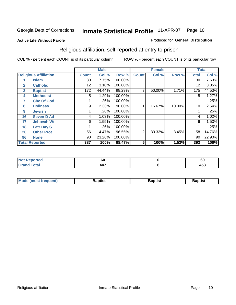#### **Active Life Without Parole**

#### Produced for **General Distribution**

### Religious affiliation, self-reported at entry to prison

|              |                              |              | <b>Male</b> |         |              | <b>Female</b> |        |              | <b>Total</b> |
|--------------|------------------------------|--------------|-------------|---------|--------------|---------------|--------|--------------|--------------|
|              | <b>Religious Affiliation</b> | <b>Count</b> | Col %       | Row %   | <b>Count</b> | Col %         | Row %  | <b>Total</b> | Col %        |
|              | <b>Islam</b>                 | 30           | 7.75%       | 100.00% |              |               |        | 30           | 7.63%        |
| $\mathbf{2}$ | <b>Catholic</b>              | 12           | 3.10%       | 100.00% |              |               |        | 12           | 3.05%        |
| 3            | <b>Baptist</b>               | 172          | 44.44%      | 98.29%  | 3            | 50.00%        | 1.71%  | 175          | 44.53%       |
| 4            | <b>Methodist</b>             | 5            | 1.29%       | 100.00% |              |               |        | 5            | 1.27%        |
| 7            | <b>Chc Of God</b>            |              | .26%        | 100.00% |              |               |        |              | .25%         |
| 8            | <b>Holiness</b>              | 9            | 2.33%       | 90.00%  |              | 16.67%        | 10.00% | 10           | 2.54%        |
| 9            | <b>Jewish</b>                |              | .26%        | 100.00% |              |               |        |              | .25%         |
| 16           | <b>Seven D Ad</b>            | 4            | 1.03%       | 100.00% |              |               |        | 4            | 1.02%        |
| 17           | <b>Jehovah Wt</b>            | 6            | 1.55%       | 100.00% |              |               |        | 6            | 1.53%        |
| 18           | <b>Latr Day S</b>            |              | .26%        | 100.00% |              |               |        |              | .25%         |
| 20           | <b>Other Prot</b>            | 56           | 14.47%      | 96.55%  | 2            | 33.33%        | 3.45%  | 58           | 14.76%       |
| 96           | <b>None</b>                  | 90           | 23.26%      | 100.00% |              |               |        | 90           | 22.90%       |
|              | <b>Total Reported</b>        | 387          | 100%        | 98.47%  | 6            | 100%          | 1.53%  | 393          | 100%         |

| τeα | σu                           | . .<br><b>or</b> |
|-----|------------------------------|------------------|
|     | $\overline{\phantom{a}}$<br> | ハにつ<br>433       |

| <b>Mode (most frequent)</b> | <b>Baptist</b> | <b>Baptist</b> | <b>Baptist</b> |
|-----------------------------|----------------|----------------|----------------|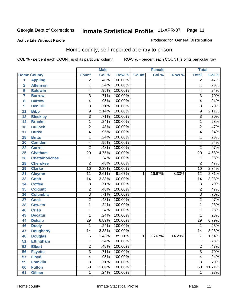#### **Active Life Without Parole**

#### Produced for **General Distribution**

### Home county, self-reported at entry to prison

|                |                      |                 | <b>Male</b> |         |              | <b>Female</b> |        | <b>Total</b>    |        |
|----------------|----------------------|-----------------|-------------|---------|--------------|---------------|--------|-----------------|--------|
|                | <b>Home County</b>   | <b>Count</b>    | Col %       | Row %   | <b>Count</b> | Col %         | Row %  | <b>Total</b>    | Col %  |
| 1              | <b>Appling</b>       | $\overline{2}$  | .48%        | 100.00% |              |               |        | $\overline{2}$  | .47%   |
| $\overline{2}$ | <b>Atkinson</b>      | 1               | .24%        | 100.00% |              |               |        | 1               | .23%   |
| 5              | <b>Baldwin</b>       | 4               | .95%        | 100.00% |              |               |        | 4               | .94%   |
| 7              | <b>Barrow</b>        | $\overline{3}$  | .71%        | 100.00% |              |               |        | 3               | .70%   |
| 8              | <b>Bartow</b>        | 4               | .95%        | 100.00% |              |               |        | 4               | .94%   |
| 9              | <b>Ben Hill</b>      | $\overline{3}$  | .71%        | 100.00% |              |               |        | $\overline{3}$  | .70%   |
| 11             | <b>Bibb</b>          | 9               | 2.14%       | 100.00% |              |               |        | 9               | 2.11%  |
| 12             | <b>Bleckley</b>      | $\overline{3}$  | .71%        | 100.00% |              |               |        | 3               | .70%   |
| 14             | <b>Brooks</b>        | 1               | .24%        | 100.00% |              |               |        | 1               | .23%   |
| 16             | <b>Bulloch</b>       | $\overline{2}$  | .48%        | 100.00% |              |               |        | $\overline{2}$  | .47%   |
| 17             | <b>Burke</b>         | 4               | .95%        | 100.00% |              |               |        | 4               | .94%   |
| 18             | <b>Butts</b>         | 1               | .24%        | 100.00% |              |               |        | 1               | .23%   |
| 20             | <b>Camden</b>        | 4               | .95%        | 100.00% |              |               |        | 4               | .94%   |
| 22             | <b>Carroll</b>       | $\overline{2}$  | .48%        | 100.00% |              |               |        | $\overline{2}$  | .47%   |
| 25             | <b>Chatham</b>       | $\overline{20}$ | 4.75%       | 100.00% |              |               |        | $\overline{20}$ | 4.68%  |
| 26             | <b>Chattahoochee</b> | 1               | .24%        | 100.00% |              |               |        | 1               | .23%   |
| 28             | <b>Cherokee</b>      | $\overline{2}$  | .48%        | 100.00% |              |               |        | $\overline{2}$  | .47%   |
| 29             | <b>Clarke</b>        | $\overline{10}$ | 2.38%       | 100.00% |              |               |        | $\overline{10}$ | 2.34%  |
| 31             | <b>Clayton</b>       | $\overline{11}$ | 2.61%       | 91.67%  | 1            | 16.67%        | 8.33%  | $\overline{12}$ | 2.81%  |
| 33             | <b>Cobb</b>          | 14              | 3.33%       | 100.00% |              |               |        | 14              | 3.28%  |
| 34             | <b>Coffee</b>        | $\overline{3}$  | .71%        | 100.00% |              |               |        | $\overline{3}$  | .70%   |
| 35             | <b>Colquitt</b>      | $\overline{2}$  | .48%        | 100.00% |              |               |        | $\mathbf 2$     | .47%   |
| 36             | <b>Columbia</b>      | $\overline{3}$  | .71%        | 100.00% |              |               |        | $\overline{3}$  | .70%   |
| 37             | <b>Cook</b>          | $\overline{2}$  | .48%        | 100.00% |              |               |        | $\overline{2}$  | .47%   |
| 38             | <b>Coweta</b>        | 1               | .24%        | 100.00% |              |               |        | 1               | .23%   |
| 40             | <b>Crisp</b>         | 1               | .24%        | 100.00% |              |               |        | 1               | .23%   |
| 43             | <b>Decatur</b>       | 1               | .24%        | 100.00% |              |               |        | 1               | .23%   |
| 44             | <b>Dekalb</b>        | 29              | 6.89%       | 100.00% |              |               |        | 29              | 6.79%  |
| 46             | <b>Dooly</b>         | 1               | .24%        | 100.00% |              |               |        | 1               | .23%   |
| 47             | <b>Dougherty</b>     | 14              | 3.33%       | 100.00% |              |               |        | $\overline{14}$ | 3.28%  |
| 48             | <b>Douglas</b>       | $\overline{6}$  | 1.43%       | 85.71%  | $\mathbf 1$  | 16.67%        | 14.29% | 7               | 1.64%  |
| 51             | <b>Effingham</b>     | 1               | .24%        | 100.00% |              |               |        | 1               | .23%   |
| 52             | <b>Elbert</b>        | $\overline{2}$  | .48%        | 100.00% |              |               |        | $\overline{2}$  | .47%   |
| 56             | <b>Fayette</b>       | $\overline{3}$  | .71%        | 100.00% |              |               |        | $\overline{3}$  | .70%   |
| 57             | <b>Floyd</b>         | 4               | .95%        | 100.00% |              |               |        | 4               | .94%   |
| 59             | <b>Franklin</b>      | $\overline{3}$  | .71%        | 100.00% |              |               |        | 3               | .70%   |
| 60             | <b>Fulton</b>        | $\overline{50}$ | 11.88%      | 100.00% |              |               |        | $\overline{50}$ | 11.71% |
| 61             | <b>Gilmer</b>        | 1               | .24%        | 100.00% |              |               |        | 1               | .23%   |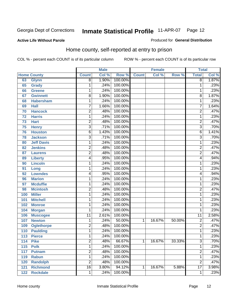Produced for **General Distribution**

#### **Active Life Without Parole**

### Home county, self-reported at entry to prison

|     |                    |                 | <b>Male</b> |         |              | <b>Female</b> |        | <b>Total</b>    |       |
|-----|--------------------|-----------------|-------------|---------|--------------|---------------|--------|-----------------|-------|
|     | <b>Home County</b> | <b>Count</b>    | Col %       | Row %   | <b>Count</b> | Col %         | Row %  | <b>Total</b>    | Col % |
| 63  | <b>Glynn</b>       | $\overline{8}$  | 1.90%       | 100.00% |              |               |        | $\overline{8}$  | 1.87% |
| 65  | Grady              | 1               | .24%        | 100.00% |              |               |        | 1               | .23%  |
| 66  | <b>Greene</b>      | 1               | .24%        | 100.00% |              |               |        | 1               | .23%  |
| 67  | <b>Gwinnett</b>    | $\overline{8}$  | 1.90%       | 100.00% |              |               |        | 8               | 1.87% |
| 68  | <b>Habersham</b>   | 1               | .24%        | 100.00% |              |               |        | 1               | .23%  |
| 69  | <b>Hall</b>        | 7               | 1.66%       | 100.00% |              |               |        | 7               | 1.64% |
| 70  | <b>Hancock</b>     | $\overline{2}$  | .48%        | 100.00% |              |               |        | $\overline{2}$  | .47%  |
| 72  | <b>Harris</b>      | 1               | .24%        | 100.00% |              |               |        | 1               | .23%  |
| 73  | <b>Hart</b>        | $\overline{c}$  | .48%        | 100.00% |              |               |        | $\overline{2}$  | .47%  |
| 75  | <b>Henry</b>       | 3               | .71%        | 100.00% |              |               |        | $\overline{3}$  | .70%  |
| 76  | <b>Houston</b>     | 6               | 1.43%       | 100.00% |              |               |        | $\overline{6}$  | 1.41% |
| 78  | <b>Jackson</b>     | 3               | .71%        | 100.00% |              |               |        | $\overline{3}$  | .70%  |
| 80  | <b>Jeff Davis</b>  | 1               | .24%        | 100.00% |              |               |        | 1               | .23%  |
| 82  | <b>Jenkins</b>     | 2               | .48%        | 100.00% |              |               |        | $\overline{2}$  | .47%  |
| 87  | <b>Laurens</b>     | $\overline{2}$  | .48%        | 100.00% |              |               |        | $\overline{2}$  | .47%  |
| 89  | <b>Liberty</b>     | 4               | .95%        | 100.00% |              |               |        | 4               | .94%  |
| 90  | <b>Lincoln</b>     | 1               | .24%        | 100.00% |              |               |        | 1               | .23%  |
| 91  | Long               | 1               | .24%        | 100.00% |              |               |        | 1               | .23%  |
| 92  | <b>Lowndes</b>     | 4               | .95%        | 100.00% |              |               |        | 4               | .94%  |
| 96  | <b>Marion</b>      | $\mathbf{1}$    | .24%        | 100.00% |              |               |        | 1               | .23%  |
| 97  | <b>Mcduffie</b>    | 1               | .24%        | 100.00% |              |               |        | 1               | .23%  |
| 98  | <b>Mcintosh</b>    | $\overline{2}$  | .48%        | 100.00% |              |               |        | $\overline{2}$  | .47%  |
| 100 | <b>Miller</b>      | $\mathbf 1$     | .24%        | 100.00% |              |               |        | 1               | .23%  |
| 101 | <b>Mitchell</b>    | 1               | .24%        | 100.00% |              |               |        | 1               | .23%  |
| 102 | <b>Monroe</b>      | 1               | .24%        | 100.00% |              |               |        | 1               | .23%  |
| 104 | <b>Morgan</b>      | 1               | .24%        | 100.00% |              |               |        | 1               | .23%  |
| 106 | <b>Muscogee</b>    | $\overline{11}$ | 2.61%       | 100.00% |              |               |        | 11              | 2.58% |
| 107 | <b>Newton</b>      | 1               | .24%        | 50.00%  | 1            | 16.67%        | 50.00% | $\overline{2}$  | .47%  |
| 109 | <b>Oglethorpe</b>  | $\overline{2}$  | .48%        | 100.00% |              |               |        | $\overline{2}$  | .47%  |
| 110 | <b>Paulding</b>    | $\mathbf{1}$    | .24%        | 100.00% |              |               |        | 1               | .23%  |
| 113 | <b>Pierce</b>      | 1               | .24%        | 100.00% |              |               |        | 1               | .23%  |
| 114 | <b>Pike</b>        | 2               | .48%        | 66.67%  | $\mathbf{1}$ | 16.67%        | 33.33% | 3               | .70%  |
| 115 | <b>Polk</b>        | $\mathbf{1}$    | .24%        | 100.00% |              |               |        | 1               | .23%  |
| 117 | <b>Putnam</b>      | $\overline{2}$  | .48%        | 100.00% |              |               |        | $\overline{2}$  | .47%  |
| 119 | <b>Rabun</b>       | 1               | .24%        | 100.00% |              |               |        | 1               | .23%  |
| 120 | <b>Randolph</b>    | $\overline{2}$  | .48%        | 100.00% |              |               |        | $\overline{2}$  | .47%  |
| 121 | <b>Richmond</b>    | $\overline{16}$ | 3.80%       | 94.12%  | 1            | 16.67%        | 5.88%  | $\overline{17}$ | 3.98% |
| 122 | <b>Rockdale</b>    | 1               | .24%        | 100.00% |              |               |        | 1               | .23%  |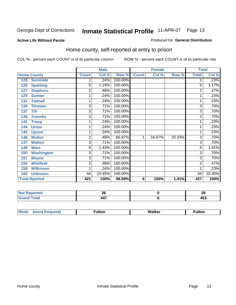#### **Active Life Without Parole**

#### Produced for **General Distribution**

### Home county, self-reported at entry to prison

|                          |                | <b>Male</b> |         |              | <b>Female</b> |        | <b>Total</b>   |        |
|--------------------------|----------------|-------------|---------|--------------|---------------|--------|----------------|--------|
| <b>Home County</b>       | <b>Count</b>   | Col %       | Row %   | <b>Count</b> | Col %         | Row %  | <b>Total</b>   | Col %  |
| <b>Seminole</b><br>125   |                | .24%        | 100.00% |              |               |        |                | .23%   |
| <b>Spalding</b><br>126   | $\overline{5}$ | 1.19%       | 100.00% |              |               |        | 5              | 1.17%  |
| <b>Stephens</b><br>127   | $\overline{2}$ | .48%        | 100.00% |              |               |        | 2              | .47%   |
| <b>Sumter</b><br>129     | 1              | .24%        | 100.00% |              |               |        |                | .23%   |
| <b>Tattnall</b><br>132   | 1              | .24%        | 100.00% |              |               |        | 1              | .23%   |
| 136<br><b>Thomas</b>     | $\overline{3}$ | .71%        | 100.00% |              |               |        | 3              | .70%   |
| <b>Tift</b><br>137       | 3              | .71%        | 100.00% |              |               |        | 3              | .70%   |
| <b>Toombs</b><br>138     | 3              | .71%        | 100.00% |              |               |        | $\overline{3}$ | .70%   |
| <b>Troup</b><br>141      | 1              | .24%        | 100.00% |              |               |        |                | .23%   |
| <b>Union</b><br>144      | 1              | .24%        | 100.00% |              |               |        |                | .23%   |
| 145<br><b>Upson</b>      | 1              | .24%        | 100.00% |              |               |        | 1              | .23%   |
| <b>Walker</b><br>146     | 2              | .48%        | 66.67%  | 1            | 16.67%        | 33.33% | 3              | .70%   |
| <b>Walton</b><br>147     | $\overline{3}$ | .71%        | 100.00% |              |               |        | 3              | .70%   |
| <b>Ware</b><br>148       | 6              | 1.43%       | 100.00% |              |               |        | 6              | 1.41%  |
| <b>Washington</b><br>150 | 3              | .71%        | 100.00% |              |               |        | 3              | .70%   |
| <b>Wayne</b><br>151      | $\overline{3}$ | .71%        | 100.00% |              |               |        | 3              | .70%   |
| <b>Whitfield</b><br>155  | $\overline{2}$ | .48%        | 100.00% |              |               |        | 2              | .47%   |
| <b>Wilkinson</b><br>158  | 1              | .24%        | 100.00% |              |               |        |                | .23%   |
| <b>Unknown</b><br>160    | 44             | 10.45%      | 100.00% |              |               |        | 44             | 10.30% |
| <b>Total Rported</b>     | 421            | 100%        | 98.59%  | 6            | 100%          | 1.41%  | 427            | 100%   |

| rtea<br>$\sim$                     | Zv                    | oc.<br>A |
|------------------------------------|-----------------------|----------|
| $\sim$ $\sim$ $\sim$ $\sim$ $\sim$ | $\overline{a}$<br>447 | −∪∪      |

| $^{\circ}$ M <sub>c</sub><br>w | __________ |
|--------------------------------|------------|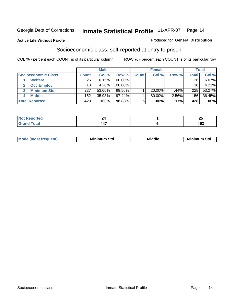Produced for **General Distribution**

#### **Active Life Without Parole**

### Socioeconomic class, self-reported at entry to prison

|                            | <b>Male</b>    |        |            | <b>Female</b> |           |       | <b>Total</b> |        |
|----------------------------|----------------|--------|------------|---------------|-----------|-------|--------------|--------|
| <b>Socioeconomic Class</b> | <b>Count</b> l | Col %  | Row %      | Count l       | Col %     | Row % | Total        | Col %  |
| <b>Welfare</b>             | 26             | 6.15%  | 100.00%    |               |           |       | 26           | 6.07%  |
| <b>Occ Employ</b>          | 18             | 4.26%  | $100.00\%$ |               |           |       | 18           | 4.21%  |
| <b>Minimum Std</b>         | 227            | 53.66% | $99.56\%$  |               | $20.00\%$ | .44%  | 228          | 53.27% |
| <b>Middle</b>              | 152            | 35.93% | $97.44\%$  |               | 80.00%    | 2.56% | 156          | 36.45% |
| <b>Total Reported</b>      | 423            | 100%   | 98.83%     |               | 100%      | 1.17% | 428          | 100%   |

| <b>South Arms</b><br>N<br>тес | ∼ | --<br>~        |
|-------------------------------|---|----------------|
| $f \wedge f \wedge f$         | . | $\overline{a}$ |
| ---                           |   | 40J            |

| Mi<br>Mi<br>Std<br>nı<br>้วแน |
|-------------------------------|
|-------------------------------|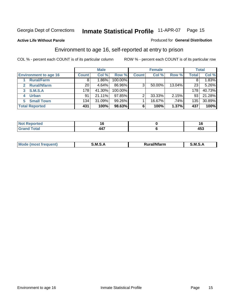**Active Life Without Parole** 

#### Produced for **General Distribution**

### Environment to age 16, self-reported at entry to prison

|                              | <b>Male</b>  |         | <b>Female</b> |              |        | <b>Total</b> |              |        |
|------------------------------|--------------|---------|---------------|--------------|--------|--------------|--------------|--------|
| <b>Environment to age 16</b> | <b>Count</b> | Col %   | Row %         | <b>Count</b> | Col %  | Row %        | <b>Total</b> | Col %  |
| <b>Rural/Farm</b>            | 8            | $.86\%$ | 100.00%       |              |        |              |              | 1.83%  |
| <b>Rural/Nfarm</b><br>2      | 20           | 4.64%   | 86.96%        | 3            | 50.00% | 13.04%       | 23           | 5.26%  |
| S.M.S.A<br>3                 | 178          | 41.30%  | 100.00%       |              |        |              | 178          | 40.73% |
| <b>Urban</b>                 | 91           | 21.11%  | $97.85\%$     |              | 33.33% | 2.15%        | 93           | 21.28% |
| <b>Small Town</b><br>5.      | 134          | 31.09%  | $99.26\%$     |              | 16.67% | .74%         | 135          | 30.89% |
| <b>Total Reported</b>        | 431          | 100%    | 98.63%        | 6            | 100%   | 1.37%        | 437          | 100%   |

| Reported<br>Not<br>$\sim$ |            |                        |
|---------------------------|------------|------------------------|
| <b>Grand Total</b>        | 447<br>--- | $\bullet$<br>. .<br>יי |

| Mc | .M<br>. . | <br>- - -- - | M |
|----|-----------|--------------|---|
|    |           |              |   |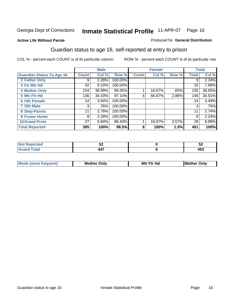Produced for **General Distribution**

#### **Active Life Without Parole**

### Guardian status to age 16, self-reported at entry to prison

|                                  |              | <b>Male</b> |           |              | <b>Female</b> |       |       | <b>Total</b> |
|----------------------------------|--------------|-------------|-----------|--------------|---------------|-------|-------|--------------|
| <b>Guardian Status To Age 16</b> | <b>Count</b> | Col %       | Row %     | <b>Count</b> | Col %         | Row % | Total | Col %        |
| 2 Father Only                    | 9            | 2.28%       | 100.00%   |              |               |       | 9     | 2.24%        |
| 3 Ftr Mtr Hd                     | 32           | 8.10%       | 100.00%   |              |               |       | 32    | 7.98%        |
| <b>4 Mother Only</b>             | 154          | 38.99%      | 99.35%    |              | 16.67%        | .65%  | 155   | 38.65%       |
| 5 Mtr Ftr Hd                     | 136          | 34.43%      | $97.14\%$ | 4            | 66.67%        | 2.86% | 140   | 34.91%       |
| <b>6 Oth Female</b>              | 14           | 3.54%       | 100.00%   |              |               |       | 14    | 3.49%        |
| <b>7 Oth Male</b>                | 3            | .76%        | 100.00%   |              |               |       | 3     | .75%         |
| 8 Step-Parnts                    | 11           | 2.78%       | 100.00%   |              |               |       | 11    | 2.74%        |
| 9 Foster Home                    | 9            | 2.28%       | 100.00%   |              |               |       | 9     | 2.24%        |
| <b>10 Grand Prnts</b>            | 27           | 6.84%       | 96.43%    |              | 16.67%        | 3.57% | 28    | 6.98%        |
| <b>Total Reported</b>            | 395          | 100%        | 98.5%     | 6            | 100%          | 1.5%  | 401   | 100%         |

| w<br>$\sim$ | ◡▵                              |
|-------------|---------------------------------|
| --          | $\overline{\phantom{a}}$<br>400 |

| <b>Mou</b> | Mother<br>Onlv | Hd<br>Mtr<br>E4w | M<br>Only<br>. |
|------------|----------------|------------------|----------------|
|            |                |                  |                |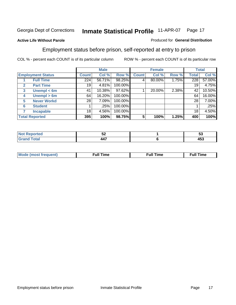#### **Active Life Without Parole**

#### Produced for **General Distribution**

### Employment status before prison, self-reported at entry to prison

|              |                          | <b>Male</b>  |        | <b>Female</b> |              |        | <b>Total</b> |              |        |
|--------------|--------------------------|--------------|--------|---------------|--------------|--------|--------------|--------------|--------|
|              | <b>Employment Status</b> | <b>Count</b> | Col %  | Row %         | <b>Count</b> | Col %  | Row %        | <b>Total</b> | Col %  |
|              | <b>Full Time</b>         | 224          | 56.71% | 98.25%        |              | 80.00% | 1.75%        | 228          | 57.00% |
| $\mathbf{2}$ | <b>Part Time</b>         | 19           | 4.81%  | 100.00%       |              |        |              | 19           | 4.75%  |
| 3            | Unempl $<$ 6m            | 41           | 10.38% | 97.62%        |              | 20.00% | 2.38%        | 42           | 10.50% |
| 4            | Unempl $> 6m$            | 64           | 16.20% | 100.00%       |              |        |              | 64           | 16.00% |
| 5            | <b>Never Workd</b>       | 28           | 7.09%  | 100.00%       |              |        |              | 28           | 7.00%  |
| 6            | <b>Student</b>           |              | .25%   | 100.00%       |              |        |              |              | .25%   |
|              | <b>Incapable</b>         | 18           | 4.56%  | 100.00%       |              |        |              | 18           | 4.50%  |
|              | <b>Total Reported</b>    | 395          | 100%   | 98.75%        | 5            | 100%   | 1.25%        | 400          | 100%   |

| тес.   | - -<br>JŁ | --<br>ູບປ             |
|--------|-----------|-----------------------|
| イーエーティ | 447       | $\overline{ }$<br>400 |

| <b>M</b> ດ | the contract of the contract of the contract of the contract of the contract of the contract of the contract of | , ull i<br>ıme | ïme<br>uı |
|------------|-----------------------------------------------------------------------------------------------------------------|----------------|-----------|
|            |                                                                                                                 |                |           |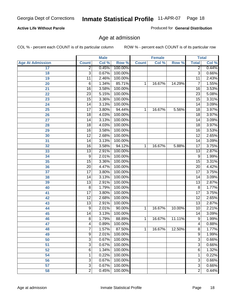#### **Active Life Without Parole**

Produced for **General Distribution**

### Age at admission

|                         |                 | <b>Male</b> |         |              | <b>Female</b> |        | <b>Total</b>    |       |
|-------------------------|-----------------|-------------|---------|--------------|---------------|--------|-----------------|-------|
| <b>Age At Admission</b> | <b>Count</b>    | Col %       | Row %   | <b>Count</b> | Col %         | Row %  | <b>Total</b>    | Col % |
| 17                      | $\overline{2}$  | 0.45%       | 100.00% |              |               |        | 2               | 0.44% |
| 18                      | $\overline{3}$  | 0.67%       | 100.00% |              |               |        | $\overline{3}$  | 0.66% |
| 19                      | $\overline{11}$ | 2.46%       | 100.00% |              |               |        | $\overline{11}$ | 2.43% |
| 20                      | 6               | 1.34%       | 85.71%  | 1            | 16.67%        | 14.29% | 7               | 1.55% |
| 21                      | $\overline{16}$ | 3.58%       | 100.00% |              |               |        | 16              | 3.53% |
| 22                      | $\overline{23}$ | 5.15%       | 100.00% |              |               |        | $\overline{23}$ | 5.08% |
| 23                      | $\overline{15}$ | 3.36%       | 100.00% |              |               |        | $\overline{15}$ | 3.31% |
| 24                      | 14              | 3.13%       | 100.00% |              |               |        | 14              | 3.09% |
| 25                      | $\overline{17}$ | 3.80%       | 94.44%  | 1            | 16.67%        | 5.56%  | 18              | 3.97% |
| 26                      | 18              | 4.03%       | 100.00% |              |               |        | 18              | 3.97% |
| 27                      | $\overline{14}$ | 3.13%       | 100.00% |              |               |        | $\overline{14}$ | 3.09% |
| 28                      | 18              | 4.03%       | 100.00% |              |               |        | 18              | 3.97% |
| 29                      | $\overline{16}$ | 3.58%       | 100.00% |              |               |        | $\overline{16}$ | 3.53% |
| 30                      | $\overline{12}$ | 2.68%       | 100.00% |              |               |        | $\overline{12}$ | 2.65% |
| 31                      | $\overline{14}$ | 3.13%       | 100.00% |              |               |        | $\overline{14}$ | 3.09% |
| 32                      | $\overline{16}$ | 3.58%       | 94.12%  | 1            | 16.67%        | 5.88%  | 17              | 3.75% |
| 33                      | $\overline{13}$ | 2.91%       | 100.00% |              |               |        | 13              | 2.87% |
| 34                      | 9               | 2.01%       | 100.00% |              |               |        | 9               | 1.99% |
| 35                      | $\overline{15}$ | 3.36%       | 100.00% |              |               |        | $\overline{15}$ | 3.31% |
| 36                      | $\overline{20}$ | 4.47%       | 100.00% |              |               |        | $\overline{20}$ | 4.42% |
| 37                      | $\overline{17}$ | 3.80%       | 100.00% |              |               |        | $\overline{17}$ | 3.75% |
| 38                      | $\overline{14}$ | 3.13%       | 100.00% |              |               |        | 14              | 3.09% |
| 39                      | $\overline{13}$ | 2.91%       | 100.00% |              |               |        | $\overline{13}$ | 2.87% |
| 40                      | 8               | 1.79%       | 100.00% |              |               |        | 8               | 1.77% |
| 41                      | $\overline{17}$ | 3.80%       | 100.00% |              |               |        | $\overline{17}$ | 3.75% |
| 42                      | $\overline{12}$ | 2.68%       | 100.00% |              |               |        | 12              | 2.65% |
| 43                      | $\overline{13}$ | 2.91%       | 100.00% |              |               |        | $\overline{13}$ | 2.87% |
| 44                      | 9               | 2.01%       | 90.00%  | 1            | 16.67%        | 10.00% | 10              | 2.21% |
| 45                      | 14              | 3.13%       | 100.00% |              |               |        | 14              | 3.09% |
| 46                      | 8               | 1.79%       | 88.89%  | 1            | 16.67%        | 11.11% | $\overline{9}$  | 1.99% |
| 47                      | 4               | 0.89%       | 100.00% |              |               |        | $\overline{4}$  | 0.88% |
| 48                      | T               | 1.57%       | 87.50%  | 1            | 16.67%        | 12.50% | 8               | 1.77% |
| 49                      | 9               | 2.01%       | 100.00% |              |               |        | 9               | 1.99% |
| 50                      | 3               | 0.67%       | 100.00% |              |               |        | $\overline{3}$  | 0.66% |
| 51                      | 3               | 0.67%       | 100.00% |              |               |        | $\overline{3}$  | 0.66% |
| 52                      | 6               | 1.34%       | 100.00% |              |               |        | 6               | 1.32% |
| 54                      | 1               | 0.22%       | 100.00% |              |               |        | 1               | 0.22% |
| 56                      | 3               | 0.67%       | 100.00% |              |               |        | $\overline{3}$  | 0.66% |
| 57                      | $\overline{3}$  | 0.67%       | 100.00% |              |               |        | $\overline{3}$  | 0.66% |
| 58                      | $\overline{2}$  | 0.45%       | 100.00% |              |               |        | $\overline{2}$  | 0.44% |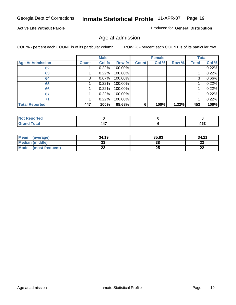#### **Active Life Without Parole**

Produced for **General Distribution**

### Age at admission

|                         |              | <b>Male</b> |         |              | <b>Female</b> |       |              | <b>Total</b> |
|-------------------------|--------------|-------------|---------|--------------|---------------|-------|--------------|--------------|
| <b>Age At Admission</b> | <b>Count</b> | Col %       | Row %   | <b>Count</b> | Col %         | Row % | <b>Total</b> | Col %        |
| 62                      |              | 0.22%       | 100.00% |              |               |       |              | 0.22%        |
| 63                      |              | 0.22%       | 100.00% |              |               |       |              | 0.22%        |
| 64                      | 3            | 0.67%       | 100.00% |              |               |       | 3            | 0.66%        |
| 65                      |              | 0.22%       | 100.00% |              |               |       |              | 0.22%        |
| 66                      |              | 0.22%       | 100.00% |              |               |       |              | 0.22%        |
| 67                      |              | 0.22%       | 100.00% |              |               |       |              | 0.22%        |
| 71                      |              | 0.22%       | 100.00% |              |               |       |              | 0.22%        |
| <b>Total Reported</b>   | 447          | 100%        | 98.68%  | 6            | 100%          | 1.32% | 453          | 100%         |

| -- | $\overline{\phantom{a}}$<br>. . |
|----|---------------------------------|

| Mean<br>(average)      | 34.19 | 35.83 | 34.21    |
|------------------------|-------|-------|----------|
| <b>Median (middle)</b> | აა    | 38    | າາ<br>ند |
| Mode (most frequent)   | ∸∸    | 25    | ົ<br>LL  |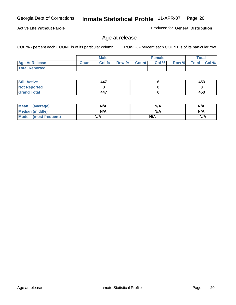#### **Active Life Without Parole**

Produced for **General Distribution**

### Age at release

|                       |              | <b>Male</b> |       |              | <b>Female</b> |       |              | Total    |
|-----------------------|--------------|-------------|-------|--------------|---------------|-------|--------------|----------|
| <b>Age At Release</b> | <b>Count</b> | Col%        | Row % | <b>Count</b> | Col %         | Row % | <b>Total</b> | $Col \%$ |
| <b>Total Reported</b> |              |             |       |              |               |       |              |          |

| <b>Still Active</b> | 447 | 453 |
|---------------------|-----|-----|
| <b>Not Reported</b> |     |     |
| <b>Grand Total</b>  | 447 | 453 |

| Mean<br>(average)      | N/A | N/A | N/A |
|------------------------|-----|-----|-----|
| <b>Median (middle)</b> | N/A | N/A | N/A |
| Mode (most frequent)   | N/A | N/A | N/A |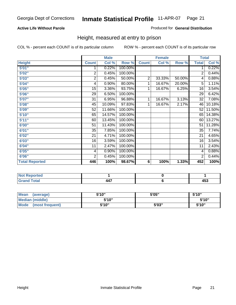#### **Active Life Without Parole**

#### Produced for **General Distribution**

### Height, measured at entry to prison

|                       |                | <b>Male</b> |         |                | <b>Female</b> |        |                 | <b>Total</b> |
|-----------------------|----------------|-------------|---------|----------------|---------------|--------|-----------------|--------------|
| <b>Height</b>         | <b>Count</b>   | Col %       | Row %   | <b>Count</b>   | Col %         | Row %  | <b>Total</b>    | Col %        |
| 5'01''                | 1              | 0.22%       | 100.00% |                |               |        | 1               | 0.22%        |
| 5'02"                 | $\overline{2}$ | 0.45%       | 100.00% |                |               |        | $\overline{2}$  | 0.44%        |
| 5'03"                 | 2              | 0.45%       | 50.00%  | $\overline{2}$ | 33.33%        | 50.00% | 4               | 0.88%        |
| 5'04"                 | 4              | 0.90%       | 80.00%  | 1              | 16.67%        | 20.00% | $\overline{5}$  | 1.11%        |
| 5'05"                 | 15             | 3.36%       | 93.75%  | 1              | 16.67%        | 6.25%  | 16              | 3.54%        |
| 5'06"                 | 29             | 6.50%       | 100.00% |                |               |        | $\overline{29}$ | 6.42%        |
| 5'07''                | 31             | 6.95%       | 96.88%  | 1              | 16.67%        | 3.13%  | 32              | 7.08%        |
| 5'08"                 | 45             | 10.09%      | 97.83%  | 1              | 16.67%        | 2.17%  | 46              | 10.18%       |
| 5'09"                 | 52             | 11.66%      | 100.00% |                |               |        | 52              | 11.50%       |
| 5'10''                | 65             | 14.57%      | 100.00% |                |               |        | 65              | 14.38%       |
| 5'11''                | 60             | 13.45%      | 100.00% |                |               |        | 60              | 13.27%       |
| 6'00''                | 51             | 11.43%      | 100.00% |                |               |        | 51              | 11.28%       |
| 6'01''                | 35             | 7.85%       | 100.00% |                |               |        | 35              | 7.74%        |
| 6'02"                 | 21             | 4.71%       | 100.00% |                |               |        | 21              | 4.65%        |
| 6'03"                 | 16             | 3.59%       | 100.00% |                |               |        | 16              | 3.54%        |
| 6'04"                 | 11             | 2.47%       | 100.00% |                |               |        | 11              | 2.43%        |
| 6'05"                 | 4              | 0.90%       | 100.00% |                |               |        | 4               | 0.88%        |
| 6'06"                 | $\overline{2}$ | 0.45%       | 100.00% |                |               |        | $\overline{2}$  | 0.44%        |
| <b>Total Reported</b> | 446            | 100%        | 98.67%  | 6              | 100%          | 1.33%  | 452             | 100%         |

| τeα<br>. |                          |     |
|----------|--------------------------|-----|
| -4-      | $\overline{\phantom{a}}$ | .   |
| -        | 77.                      | 4JJ |
| _____    |                          | __  |

| Mean<br>(average)              | 5'10" | 5'05" | 5'10"  |
|--------------------------------|-------|-------|--------|
| Median (middle)                | 5'10" |       | 5'10'' |
| <b>Mode</b><br>(most frequent) | 5'10" | 5'03" | 5'10'' |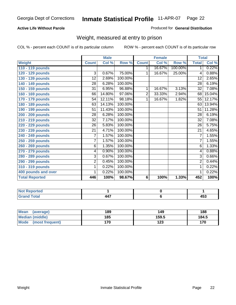#### **Active Life Without Parole**

#### Produced for **General Distribution**

### Weight, measured at entry to prison

|                       |                 | <b>Male</b> |         |              | <b>Female</b> |         |                 | <b>Total</b> |
|-----------------------|-----------------|-------------|---------|--------------|---------------|---------|-----------------|--------------|
| <b>Weight</b>         | <b>Count</b>    | Col %       | Row %   | <b>Count</b> | Col %         | Row %   | <b>Total</b>    | Col %        |
| 110 - 119 pounds      |                 |             |         | 1            | 16.67%        | 100.00% | 1.              | 0.22%        |
| 120 - 129 pounds      | $\overline{3}$  | 0.67%       | 75.00%  | 1            | 16.67%        | 25.00%  | 4               | 0.88%        |
| 130 - 139 pounds      | 12              | 2.69%       | 100.00% |              |               |         | 12              | 2.65%        |
| 140 - 149 pounds      | 28              | 6.28%       | 100.00% |              |               |         | $\overline{28}$ | 6.19%        |
| 150 - 159 pounds      | 31              | 6.95%       | 96.88%  | 1            | 16.67%        | 3.13%   | $\overline{32}$ | 7.08%        |
| 160 - 169 pounds      | 66              | 14.80%      | 97.06%  | 2            | 33.33%        | 2.94%   | 68              | 15.04%       |
| 170 - 179 pounds      | 54              | 12.11%      | 98.18%  | 1            | 16.67%        | 1.82%   | 55              | 12.17%       |
| 180 - 189 pounds      | 63              | 14.13%      | 100.00% |              |               |         | 63              | 13.94%       |
| 190 - 199 pounds      | 51              | 11.43%      | 100.00% |              |               |         | 51              | 11.28%       |
| 200 - 209 pounds      | 28              | 6.28%       | 100.00% |              |               |         | 28              | 6.19%        |
| 210 - 219 pounds      | $\overline{32}$ | 7.17%       | 100.00% |              |               |         | $\overline{32}$ | 7.08%        |
| 220 - 229 pounds      | $\overline{26}$ | 5.83%       | 100.00% |              |               |         | $\overline{26}$ | 5.75%        |
| 230 - 239 pounds      | $\overline{21}$ | 4.71%       | 100.00% |              |               |         | 21              | 4.65%        |
| 240 - 249 pounds      | 7               | 1.57%       | 100.00% |              |               |         | $\overline{7}$  | 1.55%        |
| 250 - 259 pounds      | 7               | 1.57%       | 100.00% |              |               |         | $\overline{7}$  | 1.55%        |
| 260 - 269 pounds      | 6               | 1.35%       | 100.00% |              |               |         | 6               | 1.33%        |
| 270 - 279 pounds      | 4               | 0.90%       | 100.00% |              |               |         | 4               | 0.88%        |
| 280 - 289 pounds      | 3               | 0.67%       | 100.00% |              |               |         | $\overline{3}$  | 0.66%        |
| 290 - 299 pounds      | $\overline{2}$  | 0.45%       | 100.00% |              |               |         | $\overline{2}$  | 0.44%        |
| 310 - 319 pounds      | 1               | 0.22%       | 100.00% |              |               |         | 1               | 0.22%        |
| 400 pounds and over   | 1               | 0.22%       | 100.00% |              |               |         | 1               | 0.22%        |
| <b>Total Reported</b> | 446             | 100%        | 98.67%  | 6            | 100%          | 1.33%   | 452             | 100%         |

| N0<br>prteol        |    |                     |
|---------------------|----|---------------------|
| 'otal<br>_<br>_____ | -- | $45^{\circ}$<br>-93 |

| Mean<br>(average)       | 189 | 149   | 188   |
|-------------------------|-----|-------|-------|
| Median (middle)         | 185 | 159.5 | 184.5 |
| Mode<br>(most frequent) | 170 | 123   | 170   |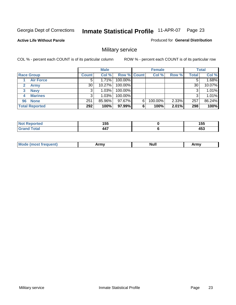**Active Life Without Parole** 

Produced for **General Distribution**

### Military service

|                       |              | <b>Male</b> |                    |   | <b>Female</b> |       |       | <b>Total</b> |
|-----------------------|--------------|-------------|--------------------|---|---------------|-------|-------|--------------|
| <b>Race Group</b>     | <b>Count</b> | Col %       | <b>Row % Count</b> |   | Col %         | Row % | Total | Col %        |
| <b>Air Force</b>      | 5            | 1.71%       | 100.00%            |   |               |       |       | 1.68%        |
| <b>Army</b>           | 30           | 10.27%      | 100.00%            |   |               |       | 30    | 10.07%       |
| <b>Navy</b><br>3      |              | 1.03%       | 100.00%            |   |               |       |       | 1.01%        |
| <b>Marines</b><br>4   | 3            | 1.03%       | 100.00%            |   |               |       | 3     | 1.01%        |
| 96 None               | 251          | 85.96%      | 97.67%             | 6 | 100.00%       | 2.33% | 257   | 86.24%       |
| <b>Total Reported</b> | 292          | 100%        | 97.99%             | 6 | 100%          | 2.01% | 298   | 100%         |

| المحامد المحارب<br>тео | 4 E E<br>טטו<br>__               | 1 F.F<br>טטו<br>__ |
|------------------------|----------------------------------|--------------------|
| Cotot                  | $\overline{\phantom{a}}$<br>-44. | 1 P A<br>400       |

| M<br><b>INUIL</b><br>.<br>. |
|-----------------------------|
|-----------------------------|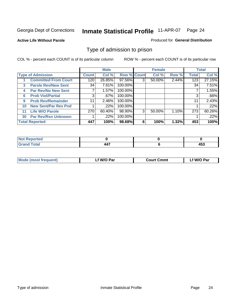#### **Active Life Without Parole**

#### Produced for **General Distribution**

### Type of admission to prison

|    |                             |              | <b>Male</b> |                    |   | <b>Female</b> |       |              | <b>Total</b> |
|----|-----------------------------|--------------|-------------|--------------------|---|---------------|-------|--------------|--------------|
|    | <b>Type of Admission</b>    | <b>Count</b> | Col %       | <b>Row % Count</b> |   | Col %         | Row % | <b>Total</b> | Col %        |
|    | <b>Committed From Court</b> | 120          | 26.85%      | 97.56%             | 3 | 50.00%        | 2.44% | 123          | 27.15%       |
| 3  | <b>Parole Rev/New Sent</b>  | 34           | 7.61%       | 100.00%            |   |               |       | 34           | 7.51%        |
| 4  | <b>Par Rev/No New Sent</b>  |              | 1.57%       | 100.00%            |   |               |       |              | 1.55%        |
| 6  | <b>Prob Viol/Partial</b>    | 3            | .67%        | 100.00%            |   |               |       |              | .66%         |
| 9  | <b>Prob Rev/Remainder</b>   | 11           | 2.46%       | 100.00%            |   |               |       | 11           | 2.43%        |
| 10 | <b>New Sent/Par Rev Pnd</b> |              | .22%        | 100.00%            |   |               |       |              | .22%         |
| 11 | <b>Life W/O Parole</b>      | 270          | 60.40%      | 98.90%             | 3 | 50.00%        | 1.10% | 273          | 60.26%       |
| 30 | <b>Par Rev/Rsn Unknown</b>  |              | .22%        | 100.00%            |   |               |       |              | .22%         |
|    | <b>Total Reported</b>       | 447          | 100%        | 98.68%             | 6 | 100%          | 1.32% | 453          | 100%         |

| <b>eported</b><br>וחשו                           |               |                                 |
|--------------------------------------------------|---------------|---------------------------------|
| <b>Total</b><br>C-rs<br>$\sim$ . $\sim$ . $\sim$ | $\rightarrow$ | $\overline{\phantom{a}}$<br>433 |

| <b>Mode (most frequent)</b> | <b>W/O Par</b> | <b>Court Cmmt</b> | M/O Par |
|-----------------------------|----------------|-------------------|---------|
|                             |                |                   |         |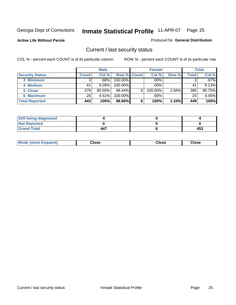**Active Life Without Parole** 

Produced for **General Distribution**

### Current / last security status

|                        |              | <b>Male</b> |                    |   | <b>Female</b> |          |       | <b>Total</b> |
|------------------------|--------------|-------------|--------------------|---|---------------|----------|-------|--------------|
| <b>Security Status</b> | <b>Count</b> | Col %       | <b>Row % Count</b> |   | Col %         | Row %    | Total | Col %        |
| 3 Minimum              | 3            | .68%        | 100.00%            |   | .00%          |          | 3     | $.67\%$      |
| 4 Medium               | 41           | 9.26%       | $100.00\%$         |   | .00%          |          | 41    | 9.13%        |
| 5 Close                | 379          | 85.55%      | 98.44%             | 6 | 100.00%       | $1.56\%$ | 385   | 85.75%       |
| 6 Maximum              | 20           | 4.51%       | 100.00%            |   | .00%          |          | 20    | 4.45%        |
| <b>Total Reported</b>  | 443          | 100%        | 98.66%             | 6 | 100%          | 1.34%    | 449   | 100%         |

| <b>Still being diagnosed</b> |     |     |
|------------------------------|-----|-----|
| <b>Not Reported</b>          |     |     |
| <b>Grand Total</b>           | 447 | 453 |

|  | Mo<br>frequent)<br>ww | Close<br>. | ∵lose<br>. | <b>OSE</b><br>. |
|--|-----------------------|------------|------------|-----------------|
|--|-----------------------|------------|------------|-----------------|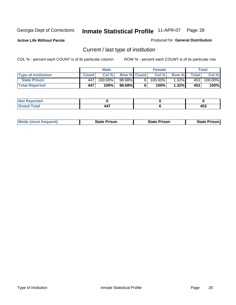**Active Life Without Parole** 

Produced for **General Distribution**

### Current / last type of institution

|                            |              | <b>Male</b> |                    |    | <b>Female</b> |          |         | Total   |
|----------------------------|--------------|-------------|--------------------|----|---------------|----------|---------|---------|
| <b>Type of Institution</b> | <b>Count</b> | Col%        | <b>Row % Count</b> |    | Col%          | Row %    | Total i | Col %   |
| <b>State Prison</b>        | 447          | 100.00%」    | 98.68%             | 61 | $100.00\%$    | $1.32\%$ | 4531    | 100.00% |
| <b>Total Reported</b>      | 447          | 100%        | 98.68%             |    | $100\%$       | $1.32\%$ | 453     | 100%    |

| <b>rted</b><br>. |                  |                |
|------------------|------------------|----------------|
| $\sim$           | --<br>$\sqrt{2}$ | .<br>−∪<br>- - |

|  | <b>Mode (most frequent)</b> | State Prison | <b>State Prison</b> | <b>State Prison</b> |
|--|-----------------------------|--------------|---------------------|---------------------|
|--|-----------------------------|--------------|---------------------|---------------------|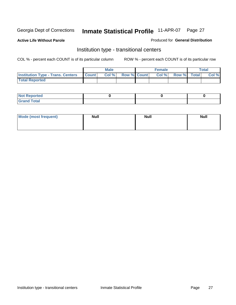**Active Life Without Parole** 

Produced for **General Distribution**

### Institution type - transitional centers

|                                                | Male  |                    | <b>Female</b> |             | <b>Total</b> |
|------------------------------------------------|-------|--------------------|---------------|-------------|--------------|
| <b>Institution Type - Trans. Centers Count</b> | Col % | <b>Row % Count</b> | Col %         | Row % Total | Col %        |
| <b>Total Reported</b>                          |       |                    |               |             |              |

| rtea<br>20 NGL 2<br>  |  |  |
|-----------------------|--|--|
| into!<br>---<br>_____ |  |  |

| Mode (most frequent) | <b>Null</b> | <b>Null</b> | <b>Null</b> |
|----------------------|-------------|-------------|-------------|
|                      |             |             |             |
|                      |             |             |             |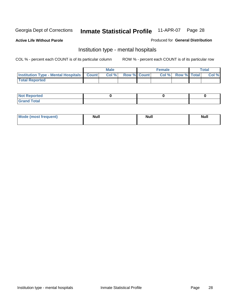**Active Life Without Parole** 

Produced for **General Distribution**

### Institution type - mental hospitals

|                                                    | Male |                    | <b>Female</b> |                    | <b>Total</b> |
|----------------------------------------------------|------|--------------------|---------------|--------------------|--------------|
| <b>Institution Type - Mental Hospitals Count  </b> | Col% | <b>Row % Count</b> | Col%          | <b>Row % Total</b> | Col %        |
| <b>Total Reported</b>                              |      |                    |               |                    |              |

| <b>Not Reported</b> |  |  |
|---------------------|--|--|
| <b>Fotal</b><br>Cro |  |  |

| Mode (most frequent) | <b>Null</b> | <b>Null</b> | <b>Null</b> |
|----------------------|-------------|-------------|-------------|
|                      |             |             |             |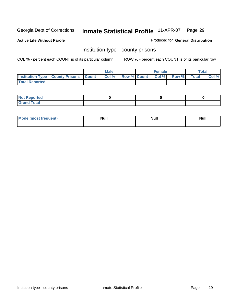**Active Life Without Parole** 

Produced for **General Distribution**

### Institution type - county prisons

|                                                    | <b>Male</b> |  | <b>Female</b>            |              |       | Total |
|----------------------------------------------------|-------------|--|--------------------------|--------------|-------|-------|
| <b>Institution Type - County Prisons   Count  </b> | Col %       |  | <b>Row % Count Col %</b> | <b>Row %</b> | Total | Col % |
| <b>Total Reported</b>                              |             |  |                          |              |       |       |

| <b>Not</b><br><b>Reported</b> |  |  |
|-------------------------------|--|--|
| <b>Grand Total</b>            |  |  |

| <b>Mo</b><br>frequent) | NI. . II<br>1u 11 | <b>Moll</b> | <b>Null</b> |
|------------------------|-------------------|-------------|-------------|
|                        |                   |             |             |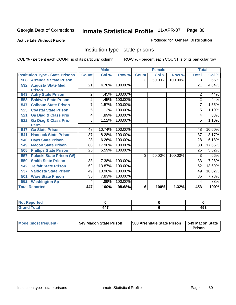#### **Active Life Without Parole**

#### Produced for **General Distribution**

### Institution type - state prisons

|                                         |                 | <b>Male</b> |         |                | <b>Female</b> |         | <b>Total</b>    |        |
|-----------------------------------------|-----------------|-------------|---------|----------------|---------------|---------|-----------------|--------|
| <b>Institution Type - State Prisons</b> | <b>Count</b>    | Col %       | Row %   | <b>Count</b>   | Col %         | Row %   | <b>Total</b>    | Col %  |
| <b>Arrendale State Prison</b><br>508    |                 |             |         | $\overline{3}$ | 50.00%        | 100.00% | 3               | .66%   |
| <b>Augusta State Med.</b><br>532        | 21              | 4.70%       | 100.00% |                |               |         | $\overline{21}$ | 4.64%  |
| <b>Prison</b>                           |                 |             |         |                |               |         |                 |        |
| <b>Autry State Prison</b><br>543        | 2               | .45%        | 100.00% |                |               |         | 2               | .44%   |
| 553<br><b>Baldwin State Prison</b>      | $\overline{2}$  | .45%        | 100.00% |                |               |         | $\overline{2}$  | .44%   |
| <b>Calhoun State Prison</b><br>547      | $\overline{7}$  | 1.57%       | 100.00% |                |               |         | 7               | 1.55%  |
| <b>Coastal State Prison</b><br>523      | 5               | 1.12%       | 100.00% |                |               |         | 5               | 1.10%  |
| <b>Ga Diag &amp; Class Pris</b><br>521  | 4               | .89%        | 100.00% |                |               |         | 4               | .88%   |
| <b>Ga Diag &amp; Class Pris-</b><br>522 | 5               | 1.12%       | 100.00% |                |               |         | 5               | 1.10%  |
| <b>Perm</b>                             |                 |             |         |                |               |         |                 |        |
| <b>Ga State Prison</b><br>517           | 48              | 10.74%      | 100.00% |                |               |         | 48              | 10.60% |
| <b>Hancock State Prison</b><br>541      | $\overline{37}$ | 8.28%       | 100.00% |                |               |         | 37              | 8.17%  |
| <b>Hays State Prison</b><br>540         | 28              | 6.26%       | 100.00% |                |               |         | 28              | 6.18%  |
| <b>Macon State Prison</b><br>549        | 80              | 17.90%      | 100.00% |                |               |         | 80              | 17.66% |
| <b>Phillips State Prison</b><br>505     | $\overline{25}$ | 5.59%       | 100.00% |                |               |         | $\overline{25}$ | 5.52%  |
| <b>Pulaski State Prison (W)</b><br>557  |                 |             |         | 3              | 50.00%        | 100.00% | 3               | .66%   |
| <b>Smith State Prison</b><br>550        | $\overline{33}$ | 7.38%       | 100.00% |                |               |         | $\overline{33}$ | 7.28%  |
| <b>Telfair State Prison</b><br>542      | 62              | 13.87%      | 100.00% |                |               |         | 62              | 13.69% |
| <b>Valdosta State Prison</b><br>537     | 49              | 10.96%      | 100.00% |                |               |         | 49              | 10.82% |
| <b>Ware State Prison</b><br>501         | $\overline{35}$ | 7.83%       | 100.00% |                |               |         | $\overline{35}$ | 7.73%  |
| <b>Washington Sp</b><br>552             | 4               | .89%        | 100.00% |                |               |         | 4               | .88%   |
| <b>Total Reported</b>                   | 447             | 100%        | 98.68%  | 6              | 100%          | 1.32%   | 453             | 100%   |

| <b>rted</b><br>N     |                                        |     |
|----------------------|----------------------------------------|-----|
| $f$ oto $f$<br>_____ | $\mathbf{A}\mathbf{A}$<br>– – <i>1</i> | 453 |

| Mode (most frequent) | 1549 Macon State Prison | <b>508 Arrendale State Prison</b> | 1549 Macon State<br>Prison |
|----------------------|-------------------------|-----------------------------------|----------------------------|
|----------------------|-------------------------|-----------------------------------|----------------------------|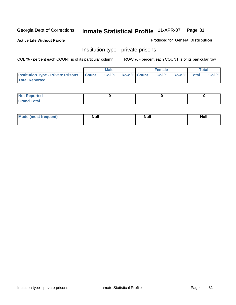**Active Life Without Parole** 

Produced for **General Distribution**

### Institution type - private prisons

|                                                     | <b>Male</b> |                    | <b>Female</b> |             | Total |
|-----------------------------------------------------|-------------|--------------------|---------------|-------------|-------|
| <b>Institution Type - Private Prisons   Count  </b> | Col %       | <b>Row % Count</b> | Col %         | Row % Total | Col % |
| <b>Total Reported</b>                               |             |                    |               |             |       |

| <b>Not Reported</b>        |  |  |
|----------------------------|--|--|
| <b>otal</b><br>. Gror<br>. |  |  |

| Mode (most frequent) | <b>Null</b> | <b>Null</b> | <b>Null</b> |
|----------------------|-------------|-------------|-------------|
|                      |             |             |             |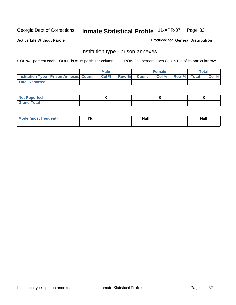**Active Life Without Parole** 

Produced for **General Distribution**

### Institution type - prison annexes

|                                                  | <b>Male</b> |             | <b>Female</b> |             | Total |
|--------------------------------------------------|-------------|-------------|---------------|-------------|-------|
| <b>Institution Type - Prison Annexes Count  </b> | Col %       | Row % Count | Col %         | Row % Total | Col % |
| <b>Total Reported</b>                            |             |             |               |             |       |

| <b>Not Reported</b>        |  |  |
|----------------------------|--|--|
| <b>Total</b><br>-<br>_____ |  |  |

| Mode (most frequent) | <b>Null</b> | <b>Null</b> | <b>Null</b> |
|----------------------|-------------|-------------|-------------|
|                      |             |             |             |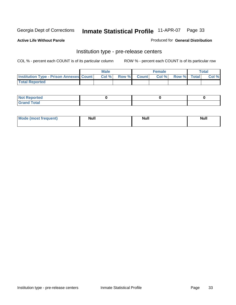**Active Life Without Parole** 

Produced for **General Distribution**

### Institution type - pre-release centers

|                                                | <b>Male</b> |             | <b>Female</b> |             | <b>Total</b> |
|------------------------------------------------|-------------|-------------|---------------|-------------|--------------|
| <b>Institution Type - Prison Annexes Count</b> | Col %       | Row % Count | Col%          | Row % Total | Col %        |
| <b>Total Reported</b>                          |             |             |               |             |              |

| <b>Not Reported</b>            |  |  |
|--------------------------------|--|--|
| <b>Total</b><br>Croi<br>$\sim$ |  |  |

| Mode (most frequent) | <b>Null</b> | <b>Null</b> | <b>Null</b> |
|----------------------|-------------|-------------|-------------|
|                      |             |             |             |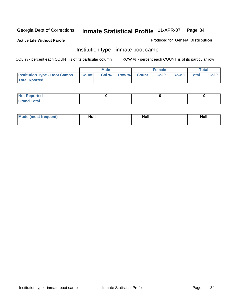**Active Life Without Parole** 

Produced for **General Distribution**

### Institution type - inmate boot camp

|                                      |              | Male  |             | <b>Female</b> |             | <b>Total</b> |
|--------------------------------------|--------------|-------|-------------|---------------|-------------|--------------|
| <b>Institution Type - Boot Camps</b> | <b>Count</b> | Col % | Row % Count | Col%          | Row % Total | Col %        |
| <b>Total Rported</b>                 |              |       |             |               |             |              |

| <b>Not Reported</b>  |  |  |
|----------------------|--|--|
| <b>Total</b><br>Croy |  |  |

| Mode (most frequent) | <b>Null</b> | <b>Null</b> | <b>Null</b> |
|----------------------|-------------|-------------|-------------|
|                      |             |             |             |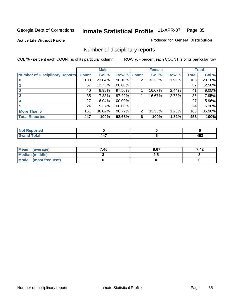**Active Life Without Parole** 

Produced for **General Distribution**

### Number of disciplinary reports

|                                       |                 | <b>Male</b> |             |   | <b>Female</b> |       |              | <b>Total</b> |
|---------------------------------------|-----------------|-------------|-------------|---|---------------|-------|--------------|--------------|
| <b>Number of Disciplinary Reports</b> | <b>Count</b>    | Col %       | Row % Count |   | Col %         | Row % | <b>Total</b> | Col %        |
|                                       | 103             | $23.04\%$   | 98.10%      | 2 | 33.33%        | 1.90% | 105          | 23.18%       |
|                                       | 57              | 12.75%      | 100.00%     |   |               |       | 57           | 12.58%       |
|                                       | 40              | 8.95%       | 97.56%      |   | 16.67%        | 2.44% | 41           | 9.05%        |
|                                       | 35              | 7.83%       | 97.22%      |   | 16.67%        | 2.78% | 36           | 7.95%        |
|                                       | 27              | 6.04%       | 100.00%     |   |               |       | 27           | 5.96%        |
|                                       | 24 <sup>1</sup> | 5.37%       | 100.00%     |   |               |       | 24           | 5.30%        |
| <b>More Than 5</b>                    | 161             | 36.02%      | 98.77%      | 2 | 33.33%        | 1.23% | 163          | 35.98%       |
| <b>Total Reported</b>                 | 447             | 100%        | 98.68%      | 6 | 100%          | 1.32% | 453          | 100%         |

| N                    |                |     |
|----------------------|----------------|-----|
| $\sim$ 40            | $\overline{a}$ | .   |
| $\sim$ $\sim$ $\sim$ |                | --- |

| Mean (average)       | 7.40 | 8.67 | 7.42 |
|----------------------|------|------|------|
| Median (middle)      |      | 2.J  |      |
| Mode (most frequent) |      |      |      |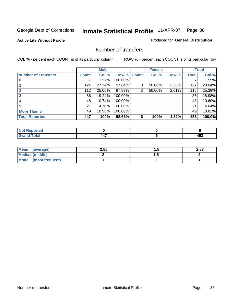#### **Active Life Without Parole**

#### Produced for **General Distribution**

### Number of transfers

|                            |              | <b>Male</b> |             |   | <b>Female</b> |       |              | <b>Total</b> |
|----------------------------|--------------|-------------|-------------|---|---------------|-------|--------------|--------------|
| <b>Number of Transfers</b> | <b>Count</b> | Col %       | Row % Count |   | Col %         | Row % | <b>Total</b> | Col %        |
|                            |              | 1.57%       | 100.00%     |   |               |       |              | 1.55%        |
|                            | 124          | 27.74%      | 97.64%      | 3 | 50.00%        | 2.36% | 127          | 28.04%       |
|                            | 112          | 25.06%      | 97.39%      | 3 | 50.00%        | 2.61% | 115          | 25.39%       |
|                            | 86           | 19.24%      | 100.00%     |   |               |       | 86           | 18.98%       |
|                            | 48           | 10.74%      | 100.00%     |   |               |       | 48           | 10.60%       |
|                            | 21           | 4.70%       | 100.00%     |   |               |       | 21           | 4.64%        |
| <b>More Than 5</b>         | 49           | 10.96%      | 100.00%     |   |               |       | 49           | 10.82%       |
| <b>Total Reported</b>      | 447          | 100%        | 98.68%      | 6 | 100%          | 1.32% | 453          | 100.0%       |

| .<br>IN 6<br>чес. |    |               |
|-------------------|----|---------------|
| $\sim$            | -- | .<br>יי<br>__ |

| Mean (average)       | 2.85 | . | 2.83 |
|----------------------|------|---|------|
| Median (middle)      |      | . |      |
| Mode (most frequent) |      |   |      |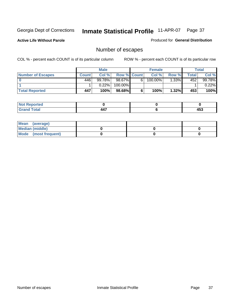**Active Life Without Parole** 

Produced for **General Distribution**

# Number of escapes

|                       |              | <b>Male</b> |                    |    | <b>Female</b>         |          |              | <b>Total</b> |
|-----------------------|--------------|-------------|--------------------|----|-----------------------|----------|--------------|--------------|
| Number of Escapes     | <b>Count</b> | Col %       | <b>Row % Count</b> |    | Col %                 | Row %    | <b>Total</b> | Col %        |
|                       | 446          | $99.78\%$   | $98.67\%$          | 6' | $100.\overline{00\%}$ | $1.33\%$ | 452          | 99.78%       |
|                       |              | 0.22%       | 100.00%            |    |                       |          |              | 0.22%        |
| <b>Total Reported</b> | 447          | 100%        | $98.68\%$          |    | 100%                  | 1.32%    | 453          | 100%         |

| rreo             |                |     |
|------------------|----------------|-----|
| <b>otal</b>      | $\overline{a}$ | .   |
| $\mathbf{v}$ and | TT.            | 499 |

| Mean (average)       |  |  |
|----------------------|--|--|
| Median (middle)      |  |  |
| Mode (most frequent) |  |  |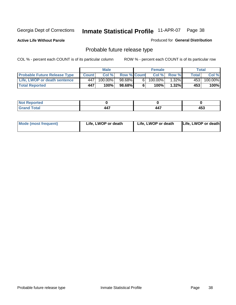**Active Life Without Parole** 

Produced for **General Distribution**

## Probable future release type

|                                     |              | <b>Male</b> |                    |   | <b>Female</b> |          |                          | $\tau$ otal |
|-------------------------------------|--------------|-------------|--------------------|---|---------------|----------|--------------------------|-------------|
| <b>Probable Future Release Type</b> | <b>Count</b> | Col %       | <b>Row % Count</b> |   | Col%          | Row %    | $\mathsf{Total}_{\perp}$ | Col %       |
| Life, LWOP or death sentence        | -447         | 100.00%」    | 98.68%             | 6 | 100.00%       | $1.32\%$ | 453                      | 100.00%     |
| <b>Total Reported</b>               | 447          | 100%        | 98.68%             | 6 | 100%          | 1.32%    | 453                      | 100%        |

| <b>Exercise</b> |            |     |
|-----------------|------------|-----|
| 'otal<br>-      | 447<br>. . | 453 |

| <b>Mode (most frequent)</b> | Life, LWOP or death | Life, LWOP or death | Life, LWOP or death |
|-----------------------------|---------------------|---------------------|---------------------|
|-----------------------------|---------------------|---------------------|---------------------|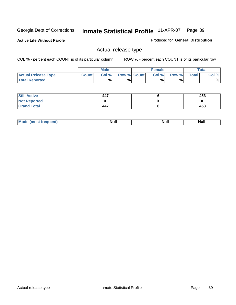**Active Life Without Parole** 

Produced for **General Distribution**

## Actual release type

|                            |              | <b>Male</b> |                    | <b>Female</b> |        |       | Total |
|----------------------------|--------------|-------------|--------------------|---------------|--------|-------|-------|
| <b>Actual Release Type</b> | <b>Count</b> | Col %       | <b>Row % Count</b> | Col %         | Row %I | Total | Col % |
| <b>Total Reported</b>      |              | %           | %                  | %             | %      |       | %     |

| <b>Still Active</b> | 447 | 453 |
|---------------------|-----|-----|
| <b>Not Reported</b> |     |     |
| <b>Grand Total</b>  | 447 | 453 |

| M<br>_____<br>_____ | NI | Null | $\cdots$ |
|---------------------|----|------|----------|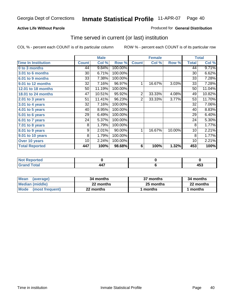#### **Active Life Without Parole**

#### Produced for **General Distribution**

### Time served in current (or last) institution

|                            |              | <b>Male</b> |         |                | <b>Female</b> |        |              | <b>Total</b> |
|----------------------------|--------------|-------------|---------|----------------|---------------|--------|--------------|--------------|
| <b>Time In Institution</b> | <b>Count</b> | Col %       | Row %   | <b>Count</b>   | Col %         | Row %  | <b>Total</b> | Col %        |
| 0 to 3 months              | 44           | 9.84%       | 100.00% |                |               |        | 44           | 9.71%        |
| 3.01 to 6 months           | 30           | 6.71%       | 100.00% |                |               |        | 30           | 6.62%        |
| 6.01 to 9 months           | 33           | 7.38%       | 100.00% |                |               |        | 33           | 7.28%        |
| 9.01 to 12 months          | 32           | 7.16%       | 96.97%  | 1              | 16.67%        | 3.03%  | 33           | 7.28%        |
| 12.01 to 18 months         | 50           | 11.19%      | 100.00% |                |               |        | 50           | 11.04%       |
| 18.01 to 24 months         | 47           | 10.51%      | 95.92%  | $\overline{2}$ | 33.33%        | 4.08%  | 49           | 10.82%       |
| 2.01 to 3 years            | 51           | 11.41%      | 96.23%  | $\overline{2}$ | 33.33%        | 3.77%  | 53           | 11.70%       |
| 3.01 to 4 years            | 32           | 7.16%       | 100.00% |                |               |        | 32           | 7.06%        |
| 4.01 to 5 years            | 40           | 8.95%       | 100.00% |                |               |        | 40           | 8.83%        |
| $5.01$ to 6 years          | 29           | 6.49%       | 100.00% |                |               |        | 29           | 6.40%        |
| 6.01 to 7 years            | 24           | 5.37%       | 100.00% |                |               |        | 24           | 5.30%        |
| $7.01$ to 8 years          | 8            | 1.79%       | 100.00% |                |               |        | 8            | 1.77%        |
| 8.01 to 9 years            | 9            | 2.01%       | 90.00%  | 1              | 16.67%        | 10.00% | 10           | 2.21%        |
| 9.01 to 10 years           | 8            | 1.79%       | 100.00% |                |               |        | 8            | 1.77%        |
| Over 10 years              | 10           | 2.24%       | 100.00% |                |               |        | 10           | 2.21%        |
| <b>Total Reported</b>      | 447          | 100%        | 98.68%  | 6              | 100%          | 1.32%  | 453          | 100%         |

| <b>Not Reported</b> |                                 |          |
|---------------------|---------------------------------|----------|
| <b>Total</b>        | $\overline{\phantom{a}}$<br>. . | .<br>433 |

| <b>Mean</b><br>(average) | 34 months | 37 months | 34 months |  |
|--------------------------|-----------|-----------|-----------|--|
| Median (middle)          | 22 months | 25 months | 22 months |  |
| Mode (most frequent)     | 22 months | ∣ months  | months    |  |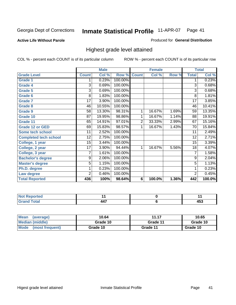**Active Life Without Parole** 

Produced for **General Distribution**

## Highest grade level attained

|                              |                 | <b>Male</b> |         |                | <b>Female</b> |       |                 | <b>Total</b> |
|------------------------------|-----------------|-------------|---------|----------------|---------------|-------|-----------------|--------------|
| <b>Grade Level</b>           | <b>Count</b>    | Col %       | Row %   | <b>Count</b>   | Col %         | Row % | <b>Total</b>    | Col %        |
| <b>Grade 1</b>               | 1               | 0.23%       | 100.00% |                |               |       | 1               | 0.23%        |
| <b>Grade 4</b>               | 3               | 0.69%       | 100.00% |                |               |       | 3               | 0.68%        |
| Grade 5                      | 3               | 0.69%       | 100.00% |                |               |       | 3               | 0.68%        |
| Grade 6                      | 8               | 1.83%       | 100.00% |                |               |       | 8               | 1.81%        |
| <b>Grade 7</b>               | 17              | 3.90%       | 100.00% |                |               |       | $\overline{17}$ | 3.85%        |
| <b>Grade 8</b>               | 46              | 10.55%      | 100.00% |                |               |       | 46              | 10.41%       |
| <b>Grade 9</b>               | 58              | 13.30%      | 98.31%  | 1              | 16.67%        | 1.69% | 59              | 13.35%       |
| Grade 10                     | $\overline{87}$ | 19.95%      | 98.86%  | 1              | 16.67%        | 1.14% | 88              | 19.91%       |
| Grade 11                     | 65              | 14.91%      | 97.01%  | $\overline{2}$ | 33.33%        | 2.99% | 67              | 15.16%       |
| <b>Grade 12 or GED</b>       | 69              | 15.83%      | 98.57%  | 1              | 16.67%        | 1.43% | 70              | 15.84%       |
| <b>Some tech school</b>      | 11              | 2.52%       | 100.00% |                |               |       | 11              | 2.49%        |
| <b>Completed tech school</b> | 12              | 2.75%       | 100.00% |                |               |       | 12              | 2.71%        |
| College, 1 year              | $\overline{15}$ | 3.44%       | 100.00% |                |               |       | 15              | 3.39%        |
| College, 2 year              | 17              | 3.90%       | 94.44%  | 1              | 16.67%        | 5.56% | 18              | 4.07%        |
| College, 3 year              | 7               | 1.61%       | 100.00% |                |               |       | 7               | 1.58%        |
| <b>Bachelor's degree</b>     | 9               | 2.06%       | 100.00% |                |               |       | 9               | 2.04%        |
| <b>Master's degree</b>       | 5               | 1.15%       | 100.00% |                |               |       | 5               | 1.13%        |
| Ph.D. degree                 | 1               | 0.23%       | 100.00% |                |               |       | 1               | 0.23%        |
| Law degree                   | $\overline{2}$  | 0.46%       | 100.00% |                |               |       | $\overline{2}$  | 0.45%        |
| <b>Total Reported</b>        | 436             | 100%        | 98.64%  | 6              | 100.0%        | 1.36% | 442             | 100.0%       |

| i Alba<br>لمستحققات<br>rtea<br>N0 |   |                       |
|-----------------------------------|---|-----------------------|
| Total.<br><b>C.A.A</b><br>-       | . | $\overline{ }$<br>ຯບບ |

| <b>Mean</b><br>(average)       | 10.64    | 11.17    | 10.65    |
|--------------------------------|----------|----------|----------|
| Median (middle)                | Grade 10 | Grade 11 | Grade 10 |
| <b>Mode</b><br>(most frequent) | Grade 10 | Grade 11 | Grade 10 |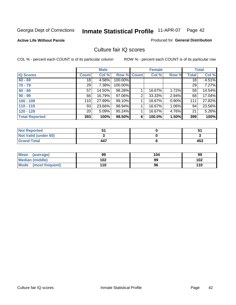**Active Life Without Parole** 

Produced for **General Distribution**

### Culture fair IQ scores

|                       |                 | <b>Male</b> |         |              | <b>Female</b> |       |              | <b>Total</b> |
|-----------------------|-----------------|-------------|---------|--------------|---------------|-------|--------------|--------------|
| <b>IQ Scores</b>      | <b>Count</b>    | Col %       | Row %   | <b>Count</b> | Col %         | Row % | <b>Total</b> | Col %        |
| $60 - 69$             | 18              | 4.58%       | 100.00% |              |               |       | 18           | 4.51%        |
| $70 - 79$             | 29              | 7.38%       | 100.00% |              |               |       | 29           | 7.27%        |
| $80 - 89$             | 57              | 14.50%      | 98.28%  |              | 16.67%        | 1.72% | 58           | 14.54%       |
| $90 - 99$             | 66              | 16.79%      | 97.06%  | 2            | 33.33%        | 2.94% | 68           | 17.04%       |
| $100 - 109$           | 110             | 27.99%      | 99.10%  |              | 16.67%        | 0.90% | 111          | 27.82%       |
| $110 - 119$           | 93              | 23.66%      | 98.94%  |              | 16.67%        | 1.06% | 94           | 23.56%       |
| $120 - 129$           | 20 <sub>1</sub> | 5.09%       | 95.24%  |              | 16.67%        | 4.76% | 21           | 5.26%        |
| <b>Total Reported</b> | 393             | 100%        | 98.50%  | 6            | 100.0%        | 1.50% | 399          | 100%         |

| <b>Not Reported</b>         |     |     |
|-----------------------------|-----|-----|
| <b>Not Valid (under 60)</b> |     |     |
| <b>Grand Total</b>          | 447 | 453 |

| <b>Mean</b><br>(average)       | 99  | 104 | 99  |
|--------------------------------|-----|-----|-----|
| <b>Median (middle)</b>         | 102 | 99  | 102 |
| <b>Mode</b><br>(most frequent) | 110 | 96  | 110 |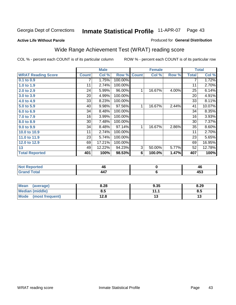#### **Active Life Without Parole**

#### Produced for **General Distribution**

# Wide Range Achievement Test (WRAT) reading score

COL % - percent each COUNT is of its particular column ROW % - percent each COUNT is of its particular row

 **Mode (most frequent) 12.8**

 **6**

**13**

|                           |              | <b>Male</b> |         |              | <b>Female</b> |       |              | <b>Total</b> |
|---------------------------|--------------|-------------|---------|--------------|---------------|-------|--------------|--------------|
| <b>WRAT Reading Score</b> | <b>Count</b> | Col %       | Row %   | <b>Count</b> | Col %         | Row % | <b>Total</b> | Col %        |
| 0.1 to 0.9                |              | 1.75%       | 100.00% |              |               |       |              | 1.72%        |
| 1.0 to 1.9                | 11           | 2.74%       | 100.00% |              |               |       | 11           | 2.70%        |
| 2.0 to 2.9                | 24           | 5.99%       | 96.00%  | 1            | 16.67%        | 4.00% | 25           | 6.14%        |
| 3.0 to 3.9                | 20           | 4.99%       | 100.00% |              |               |       | 20           | 4.91%        |
| 4.0 to 4.9                | 33           | 8.23%       | 100.00% |              |               |       | 33           | 8.11%        |
| 5.0 to 5.9                | 40           | 9.98%       | 97.56%  | 1            | 16.67%        | 2.44% | 41           | 10.07%       |
| 6.0 to 6.9                | 34           | 8.48%       | 100.00% |              |               |       | 34           | 8.35%        |
| 7.0 to 7.9                | 16           | 3.99%       | 100.00% |              |               |       | 16           | 3.93%        |
| 8.0 to 8.9                | 30           | 7.48%       | 100.00% |              |               |       | 30           | 7.37%        |
| 9.0 to 9.9                | 34           | 8.48%       | 97.14%  | 1            | 16.67%        | 2.86% | 35           | 8.60%        |
| 10.0 to 10.9              | 11           | 2.74%       | 100.00% |              |               |       | 11           | 2.70%        |
| 11.0 to 11.9              | 23           | 5.74%       | 100.00% |              |               |       | 23           | 5.65%        |
| 12.0 to 12.9              | 69           | 17.21%      | 100.00% |              |               |       | 69           | 16.95%       |
| 13                        | 49           | 12.22%      | 94.23%  | 3            | 50.00%        | 5.77% | 52           | 12.78%       |
| <b>Total Reported</b>     | 401          | 100%        | 98.53%  | 6            | 100.0%        | 1.47% | 407          | 100%         |
|                           |              |             |         |              |               |       |              |              |
| <b>Not Reported</b>       |              | 46          |         |              | $\pmb{0}$     |       |              | 46           |

| <b>Mean</b><br>(average) | 8.28 | 9.35      | 8.29 |
|--------------------------|------|-----------|------|
| <b>Median (middle)</b>   | 8.5  | 11.1<br>. | ໐.ວ  |

 **447**

 **Grand Total**

 **453**

**13**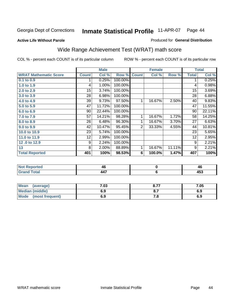#### **Active Life Without Parole**

#### Produced for **General Distribution**

# Wide Range Achievement Test (WRAT) math score

|                              |              | <b>Male</b> |         |                | <b>Female</b> |        |              | <b>Total</b> |
|------------------------------|--------------|-------------|---------|----------------|---------------|--------|--------------|--------------|
| <b>WRAT Mathematic Score</b> | <b>Count</b> | Col %       | Row %   | <b>Count</b>   | Col %         | Row %  | <b>Total</b> | Col %        |
| $0.1$ to $0.9$               |              | 0.25%       | 100.00% |                |               |        | 1            | 0.25%        |
| 1.0 to 1.9                   | 4            | 1.00%       | 100.00% |                |               |        | 4            | 0.98%        |
| 2.0 to 2.9                   | 15           | 3.74%       | 100.00% |                |               |        | 15           | 3.69%        |
| 3.0 to 3.9                   | 28           | 6.98%       | 100.00% |                |               |        | 28           | 6.88%        |
| 4.0 to 4.9                   | 39           | 9.73%       | 97.50%  | $\mathbf 1$    | 16.67%        | 2.50%  | 40           | 9.83%        |
| 5.0 to 5.9                   | 47           | 11.72%      | 100.00% |                |               |        | 47           | 11.55%       |
| 6.0 to 6.9                   | 90           | 22.44%      | 100.00% |                |               |        | 90           | 22.11%       |
| 7.0 to 7.9                   | 57           | 14.21%      | 98.28%  | 1              | 16.67%        | 1.72%  | 58           | 14.25%       |
| 8.0 to 8.9                   | 26           | 6.48%       | 96.30%  | 1              | 16.67%        | 3.70%  | 27           | 6.63%        |
| 9.0 to 9.9                   | 42           | 10.47%      | 95.45%  | 2 <sub>1</sub> | 33.33%        | 4.55%  | 44           | 10.81%       |
| 10.0 to 10.9                 | 23           | 5.74%       | 100.00% |                |               |        | 23           | 5.65%        |
| 11.0 to 11.9                 | 12           | 2.99%       | 100.00% |                |               |        | 12           | 2.95%        |
| 12.0 to 12.9                 | 9            | 2.24%       | 100.00% |                |               |        | 9            | 2.21%        |
| 13                           | 8            | 2.00%       | 88.89%  | 1              | 16.67%        | 11.11% | 9            | 2.21%        |
| <b>Total Reported</b>        | 401          | 100%        | 98.53%  | 6              | 100.0%        | 1.47%  | 407          | 100%         |
|                              |              |             |         |                |               |        |              |              |
|                              |              |             |         |                |               |        |              |              |

| <b>Not Reported</b> | 46       | 40         |
|---------------------|----------|------------|
| <b>Total</b>        | 147<br>. | オピク<br>−∪ฃ |

| <b>Mean</b><br>(average)       | .03 | 0.77<br>O.1 | 7.05 |
|--------------------------------|-----|-------------|------|
| <b>Median (middle)</b>         | 6.9 |             | 6.9  |
| <b>Mode</b><br>(most frequent) | 6.9 | 7. O        | 6.9  |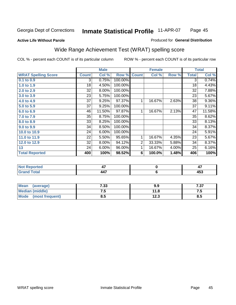#### **Active Life Without Parole**

#### Produced for **General Distribution**

# Wide Range Achievement Test (WRAT) spelling score

|                            |                 | <b>Male</b> |         |                | <b>Female</b> |       |              | <b>Total</b> |
|----------------------------|-----------------|-------------|---------|----------------|---------------|-------|--------------|--------------|
| <b>WRAT Spelling Score</b> | <b>Count</b>    | Col %       | Row %   | <b>Count</b>   | Col %         | Row % | <b>Total</b> | Col %        |
| 0.1 to 0.9                 | 3               | 0.75%       | 100.00% |                |               |       | 3            | 0.74%        |
| 1.0 to 1.9                 | 18              | 4.50%       | 100.00% |                |               |       | 18           | 4.43%        |
| 2.0 to 2.9                 | 32              | 8.00%       | 100.00% |                |               |       | 32           | 7.88%        |
| 3.0 to 3.9                 | 23              | 5.75%       | 100.00% |                |               |       | 23           | 5.67%        |
| 4.0 to 4.9                 | $\overline{37}$ | 9.25%       | 97.37%  | 1              | 16.67%        | 2.63% | 38           | 9.36%        |
| 5.0 to 5.9                 | 37              | 9.25%       | 100.00% |                |               |       | 37           | 9.11%        |
| 6.0 to 6.9                 | 46              | 11.50%      | 97.87%  | 1              | 16.67%        | 2.13% | 47           | 11.58%       |
| 7.0 to 7.9                 | 35              | 8.75%       | 100.00% |                |               |       | 35           | 8.62%        |
| 8.0 to 8.9                 | 33              | 8.25%       | 100.00% |                |               |       | 33           | 8.13%        |
| 9.0 to 9.9                 | 34              | 8.50%       | 100.00% |                |               |       | 34           | 8.37%        |
| 10.0 to 10.9               | 24              | 6.00%       | 100.00% |                |               |       | 24           | 5.91%        |
| 11.0 to 11.9               | 22              | 5.50%       | 95.65%  | 1              | 16.67%        | 4.35% | 23           | 5.67%        |
| 12.0 to 12.9               | 32              | 8.00%       | 94.12%  | $\overline{2}$ | 33.33%        | 5.88% | 34           | 8.37%        |
| 13                         | 24              | 6.00%       | 96.00%  | 1              | 16.67%        | 4.00% | 25           | 6.16%        |
| <b>Total Reported</b>      | 400             | 100%        | 98.52%  | 6              | 100.0%        | 1.48% | 406          | 100%         |
|                            |                 |             |         |                |               |       |              |              |
| <b>Not Reported</b>        |                 | 47          |         |                | $\pmb{0}$     |       |              | 47           |
| <b>Grand Total</b>         |                 | 447         |         |                | $\bf 6$       |       |              | 453          |

| <b>Mean</b><br>(average) | 7.33 | 9.9           | 707<br>، ن |
|--------------------------|------|---------------|------------|
| <b>Median (middle)</b>   | .    | 11.8          | ن. ا       |
| Mode<br>(most frequent)  | ၓ.૭  | 1つ つ<br>د.ء ا | 8.5        |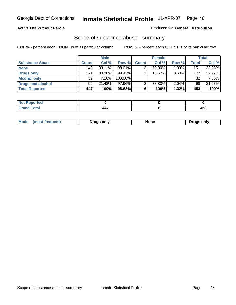#### **Active Life Without Parole**

#### Produced for **General Distribution**

### Scope of substance abuse - summary

|                        |              | <b>Male</b> |            |              | <b>Female</b> |          |              | <b>Total</b> |
|------------------------|--------------|-------------|------------|--------------|---------------|----------|--------------|--------------|
| <b>Substance Abuse</b> | <b>Count</b> | Col %       | Row %      | <b>Count</b> | Col %         | Row %    | <b>Total</b> | Col %        |
| <b>None</b>            | 148          | $33.11\%$   | 98.01%     | ◠            | $50.00\%$     | $1.99\%$ | 151          | 33.33%       |
| Drugs only             | 171          | 38.26%      | $99.42\%$  |              | 16.67%        | 0.58%    | 172          | 37.97%       |
| <b>Alcohol only</b>    | 32           | 7.16%       | $100.00\%$ |              |               |          | 32           | 7.06%        |
| Drugs and alcohol      | 96           | 21.48%      | 97.96%I    | ◠            | 33.33%        | $2.04\%$ | 98           | 21.63%       |
| <b>Total Reported</b>  | 447          | 100%        | 98.68%     | 6            | 100%          | 1.32%    | 453          | 100%         |

| 4 - 1<br>Reported<br> |                          |                        |
|-----------------------|--------------------------|------------------------|
| Total<br>$\sim$       | $\overline{\phantom{a}}$ | 1 E ?<br>ヿヷぃ<br>$\sim$ |

|  | Mode<br>trequent.<br>most | Drugs only | …u∩n | ∍onlv<br>Druas |
|--|---------------------------|------------|------|----------------|
|--|---------------------------|------------|------|----------------|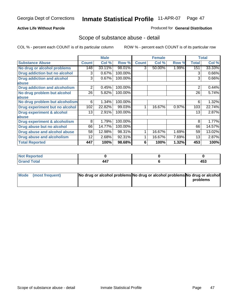### **Active Life Without Parole**

### Produced for **General Distribution**

### Scope of substance abuse - detail

|                                         |              | <b>Male</b> |         |              | <b>Female</b> |       |              | <b>Total</b> |
|-----------------------------------------|--------------|-------------|---------|--------------|---------------|-------|--------------|--------------|
| <b>Substance Abuse</b>                  | <b>Count</b> | Col %       | Row %   | <b>Count</b> | Col %         | Row % | <b>Total</b> | Col %        |
| No drug or alcohol problems             | 148          | 33.11%      | 98.01%  | 3            | 50.00%        | 1.99% | 151          | 33.33%       |
| Drug addiction but no alcohol           | 3            | 0.67%       | 100.00% |              |               |       | 3            | 0.66%        |
| <b>Drug addiction and alcohol</b>       | 3            | 0.67%       | 100.00% |              |               |       | 3            | 0.66%        |
| abuse                                   |              |             |         |              |               |       |              |              |
| <b>Drug addiction and alcoholism</b>    | 2            | 0.45%       | 100.00% |              |               |       | 2            | 0.44%        |
| No drug problem but alcohol             | 26           | 5.82%       | 100.00% |              |               |       | 26           | 5.74%        |
| abuse                                   |              |             |         |              |               |       |              |              |
| No drug problem but alcoholism          | 6            | 1.34%       | 100.00% |              |               |       | 6            | 1.32%        |
| Drug experiment but no alcohol          | 102          | 22.82%      | 99.03%  |              | 16.67%        | 0.97% | 103          | 22.74%       |
| <b>Drug experiment &amp; alcohol</b>    | 13           | 2.91%       | 100.00% |              |               |       | 13           | 2.87%        |
| abuse                                   |              |             |         |              |               |       |              |              |
| <b>Drug experiment &amp; alcoholism</b> | 8            | 1.79%       | 100.00% |              |               |       | 8            | 1.77%        |
| Drug abuse but no alcohol               | 66           | 14.77%      | 100.00% |              |               |       | 66           | 14.57%       |
| Drug abuse and alcohol abuse            | 58           | 12.98%      | 98.31%  |              | 16.67%        | 1.69% | 59           | 13.02%       |
| Drug abuse and alcoholism               | 12           | 2.68%       | 92.31%  |              | 16.67%        | 7.69% | 13           | 2.87%        |
| <b>Total Reported</b>                   | 447          | 100%        | 98.68%  | 6            | 100%          | 1.32% | 453          | 100%         |

| <b>Not Reported</b>         |                        |          |
|-----------------------------|------------------------|----------|
| <b>Total</b><br><b>Gran</b> | .<br>л л<br><b>TT.</b> | .<br>400 |

| Mode (most frequent) | No drug or alcohol problems No drug or alcohol problems No drug or alcohol |          |
|----------------------|----------------------------------------------------------------------------|----------|
|                      |                                                                            | problems |
|                      |                                                                            |          |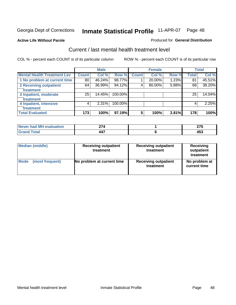#### **Active Life Without Parole**

#### Produced for **General Distribution**

### Current / last mental health treatment level

|                                    |              | <b>Male</b> |         |              | <b>Female</b> |       |              | <b>Total</b> |
|------------------------------------|--------------|-------------|---------|--------------|---------------|-------|--------------|--------------|
| <b>Mental Health Treatment Lev</b> | <b>Count</b> | Col %       | Row %   | <b>Count</b> | Col %         | Row % | <b>Total</b> | Col %        |
| 1 No problem at current time       | 80           | 46.24%      | 98.77%  |              | 20.00%        | 1.23% | 81           | 45.51%       |
| 2 Receiving outpatient             | 64           | 36.99%      | 94.12%  | 4            | 80.00%        | 5.88% | 68           | 38.20%       |
| treatment                          |              |             |         |              |               |       |              |              |
| 3 Inpatient, moderate              | 25           | 14.45%      | 100.00% |              |               |       | 25           | 14.04%       |
| treatment                          |              |             |         |              |               |       |              |              |
| 4 Inpatient, intensive             | 4            | 2.31%       | 100.00% |              |               |       | 4            | 2.25%        |
| treatment                          |              |             |         |              |               |       |              |              |
| <b>Total Evaluated</b>             | 173          | 100%        | 97.19%  | 5            | 100%          | 2.81% | 178          | 100%         |

| Never had MH evaluation | <b>074</b>               | $- - -$<br>-- |
|-------------------------|--------------------------|---------------|
|                         | $\overline{\phantom{a}}$ | .<br>TVJ      |

| <b>Median (middle)</b> | <b>Receiving outpatient</b><br>treatment | <b>Receiving outpatient</b><br>treatment | <b>Receiving</b><br>outpatient<br>treatment |  |
|------------------------|------------------------------------------|------------------------------------------|---------------------------------------------|--|
| <b>Mode</b>            | No problem at current time               | <b>Receiving outpatient</b>              | No problem at                               |  |
| (most frequent)        |                                          | treatment                                | current time                                |  |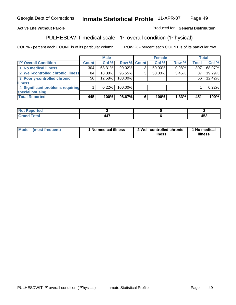### **Active Life Without Parole**

### Produced for **General Distribution**

# PULHESDWIT medical scale - 'P' overall condition ('P'hysical)

|                                   |         | <b>Male</b> |             |   | <b>Female</b> |       |              | <b>Total</b> |
|-----------------------------------|---------|-------------|-------------|---|---------------|-------|--------------|--------------|
| 'P' Overall Condition             | Count l | Col %       | Row % Count |   | Col %         | Row % | <b>Total</b> | Col %        |
| 1 No medical illness              | 304     | 68.31%      | 99.02%      | ົ | 50.00%        | 0.98% | 307          | 68.07%       |
| 2 Well-controlled chronic illness | 84      | 18.88%      | 96.55%      | 3 | 50.00%        | 3.45% | 87           | 19.29%       |
| 3 Poorly-controlled chronic       | 56      | 12.58%      | 100.00%     |   |               |       | 56           | 12.42%       |
| <b>illness</b>                    |         |             |             |   |               |       |              |              |
| 4 Significant problems requiring  |         | 0.22%       | 100.00%     |   |               |       |              | 0.22%        |
| special housing                   |         |             |             |   |               |       |              |              |
| <b>Total Reported</b>             | 445     | 100%        | 98.67%      |   | 100%          | 1.33% | 451          | 100%         |

| Not Reported |                                  |              |
|--------------|----------------------------------|--------------|
| <b>otal</b>  | $\overline{\phantom{a}}$<br>-44. | 1 E 9<br>499 |

| Mode            | ' No medical illness | 2 Well-controlled chronic | 1 No medical |
|-----------------|----------------------|---------------------------|--------------|
| (most frequent) |                      | illness                   | illness      |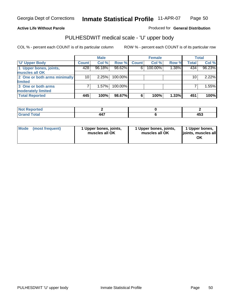### **Active Life Without Parole**

Produced for **General Distribution**

# PULHESDWIT medical scale - 'U' upper body

|                              |              | <b>Male</b> |         | <b>Female</b> |         | <b>Total</b> |              |        |
|------------------------------|--------------|-------------|---------|---------------|---------|--------------|--------------|--------|
| <b>TU' Upper Body</b>        | <b>Count</b> | Col %       | Row %   | <b>Count</b>  | Col %   | Row %        | <b>Total</b> | Col %  |
| 1 Upper bones, joints,       | 428          | 96.18%      | 98.62%  | 6             | 100.00% | $1.38\%$     | 434          | 96.23% |
| muscles all OK               |              |             |         |               |         |              |              |        |
| 2 One or both arms minimally | 10           | 2.25%       | 100.00% |               |         |              | 10           | 2.22%  |
| limited                      |              |             |         |               |         |              |              |        |
| 3 One or both arms           |              | 1.57%       | 100.00% |               |         |              |              | 1.55%  |
| moderately limited           |              |             |         |               |         |              |              |        |
| <b>Total Reported</b>        | 445          | 100%        | 98.67%  | 6             | 100%    | 1.33%        | 451          | 100%   |

| المناصب المست<br>prreo |                                          |               |
|------------------------|------------------------------------------|---------------|
| int                    | $\overline{\phantom{a}}$<br>– – <i>1</i> | .<br>יי<br>__ |

| Mode | (most frequent) | 1 Upper bones, joints,<br>muscles all OK | 1 Upper bones, joints,<br>muscles all OK | 1 Upper bones,<br>joints, muscles all |
|------|-----------------|------------------------------------------|------------------------------------------|---------------------------------------|
|------|-----------------|------------------------------------------|------------------------------------------|---------------------------------------|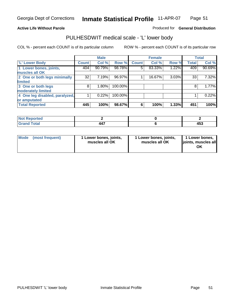### **Active Life Without Parole**

### Produced for **General Distribution**

### PULHESDWIT medical scale - 'L' lower body

|                                |                    | <b>Male</b> |         |              | <b>Female</b> |       |              | <b>Total</b> |
|--------------------------------|--------------------|-------------|---------|--------------|---------------|-------|--------------|--------------|
| 'L' Lower Body                 | Count <sup>1</sup> | Col %       | Row %   | <b>Count</b> | Col %         | Row % | <b>Total</b> | Col %        |
| 1 Lower bones, joints,         | 404                | 90.79%      | 98.78%  | 5            | 83.33%        | 1.22% | 409          | 90.69%       |
| muscles all OK                 |                    |             |         |              |               |       |              |              |
| 2 One or both legs minimally   | 32                 | 7.19%       | 96.97%  |              | 16.67%        | 3.03% | 33           | $7.32\%$     |
| limited                        |                    |             |         |              |               |       |              |              |
| 3 One or both legs             | 8                  | 1.80%       | 100.00% |              |               |       | 8            | 1.77%        |
| moderately limited             |                    |             |         |              |               |       |              |              |
| 4 One leg disabled, paralyzed, |                    | 0.22%       | 100.00% |              |               |       |              | 0.22%        |
| or amputated                   |                    |             |         |              |               |       |              |              |
| <b>Total Reported</b>          | 445                | 100%        | 98.67%  | 6            | 100%          | 1.33% | 451          | 100%         |

| <b>Section Administration</b><br>m.<br>тео |                               |              |
|--------------------------------------------|-------------------------------|--------------|
| $f \wedge f \wedge f$<br>ι υιαι<br>----    | $\overline{\phantom{a}}$<br>. | 1 E A<br>453 |

|  | Mode (most frequent) | 1 Lower bones, joints,<br>muscles all OK | 1 Lower bones, joints,<br>muscles all OK | 1 Lower bones,<br>joints, muscles all<br>OK |
|--|----------------------|------------------------------------------|------------------------------------------|---------------------------------------------|
|--|----------------------|------------------------------------------|------------------------------------------|---------------------------------------------|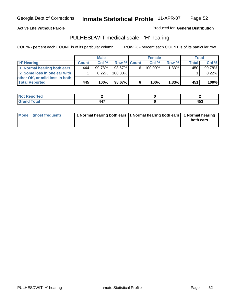#### **Active Life Without Parole**

Produced for **General Distribution**

### PULHESDWIT medical scale - 'H' hearing

|                                |              | <b>Male</b> |             | <b>Female</b> |         |          | Total        |         |
|--------------------------------|--------------|-------------|-------------|---------------|---------|----------|--------------|---------|
| 'H' Hearing                    | <b>Count</b> | Col%        | Row % Count |               | Col%    | Row %    | <b>Total</b> | Col %   |
| 1 Normal hearing both ears     | 444          | $99.78\%$   | 98.67%      | 61            | 100.00% | 1.33%    | 450          | 99.78%  |
| 2 Some loss in one ear with    |              | $0.22\%$    | 100.00%     |               |         |          |              | 0.22%   |
| other OK, or mild loss in both |              |             |             |               |         |          |              |         |
| <b>Total Reported</b>          | 445          | 100%        | 98.67%I     | 6             | 100%    | $1.33\%$ | 451          | $100\%$ |

| orted<br><b>NOT</b> |   |              |
|---------------------|---|--------------|
| iotal               | . | A E O<br>- ט |

| Mode (most frequent) | 1 Normal hearing both ears 1 Normal hearing both ears 1 Normal hearing | both ears |
|----------------------|------------------------------------------------------------------------|-----------|
|                      |                                                                        |           |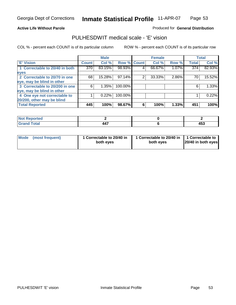#### **Active Life Without Parole**

#### Produced for **General Distribution**

### PULHESDWIT medical scale - 'E' vision

|                                |       | <b>Male</b> |             |   | <b>Female</b> |       |              | <b>Total</b> |
|--------------------------------|-------|-------------|-------------|---|---------------|-------|--------------|--------------|
| <b>E' Vision</b>               | Count | Col %       | Row % Count |   | Col %         | Row % | <b>Total</b> | Col %        |
| 1 Correctable to 20/40 in both | 370   | 83.15%      | 98.93%      | 4 | 66.67%        | 1.07% | 374          | 82.93%       |
| eyes                           |       |             |             |   |               |       |              |              |
| 2 Correctable to 20/70 in one  | 68    | 15.28%      | 97.14%      | 2 | 33.33%        | 2.86% | 70           | 15.52%       |
| eye, may be blind in other     |       |             |             |   |               |       |              |              |
| 3 Correctable to 20/200 in one | 6     | 1.35%       | 100.00%     |   |               |       | 6            | 1.33%        |
| eye, may be blind in other     |       |             |             |   |               |       |              |              |
| 4 One eye not correctable to   |       | 0.22%       | 100.00%     |   |               |       |              | 0.22%        |
| 20/200, other may be blind     |       |             |             |   |               |       |              |              |
| <b>Total Reported</b>          | 445   | 100%        | 98.67%      | 6 | 100%          | 1.33% | 451          | 100%         |

| <b>Not Reported</b> |     |       |
|---------------------|-----|-------|
| <b>Total</b>        | 447 | 4 F A |
| <b></b>             |     | 453   |

| Mode (most frequent) | 1 Correctable to 20/40 in<br>both eves | 1 Correctable to 20/40 in   1 Correctable to  <br>both eves | 20/40 in both eyes |
|----------------------|----------------------------------------|-------------------------------------------------------------|--------------------|
|----------------------|----------------------------------------|-------------------------------------------------------------|--------------------|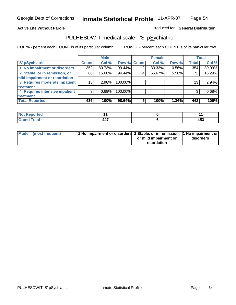### **Active Life Without Parole**

### Produced for **General Distribution**

## PULHESDWIT medical scale - 'S' pSychiatric

|                                |              | <b>Male</b> |                    |   | <b>Female</b> |       |              | <b>Total</b> |
|--------------------------------|--------------|-------------|--------------------|---|---------------|-------|--------------|--------------|
| 'S' pSychiatric                | <b>Count</b> | Col %       | <b>Row % Count</b> |   | Col %         | Row % | <b>Total</b> | Col %        |
| 1 No impairment or disorders   | 352          | 80.73%      | 99.44%             | 2 | 33.33%        | 0.56% | 354          | 80.09%       |
| 2 Stable, or in remission, or  | 68           | 15.60%      | 94.44%             | 4 | 66.67%        | 5.56% | 72           | 16.29%       |
| mild impairment or retardation |              |             |                    |   |               |       |              |              |
| 3 Requires moderate inpatient  | 13           | $2.98\%$    | 100.00%            |   |               |       | 13           | 2.94%        |
| treatment                      |              |             |                    |   |               |       |              |              |
| 4 Requires intensive inpatient | 3            | 0.69%       | 100.00%            |   |               |       | 3            | 0.68%        |
| treatment                      |              |             |                    |   |               |       |              |              |
| <b>Total Reported</b>          | 436          | 100%        | 98.64%             | 6 | 100%          | 1.36% | 442          | 100%         |

| <b>eported</b><br>NOT |     |     |
|-----------------------|-----|-----|
| <b>Total</b>          | 447 | 15' |
| <b>Care</b>           |     | 40. |

| Mode (most frequent) | 1 No impairment or disorders 2 Stable, or in remission, 11 No impairment or |                       |           |
|----------------------|-----------------------------------------------------------------------------|-----------------------|-----------|
|                      |                                                                             | or mild impairment or | disorders |
|                      |                                                                             | retardation           |           |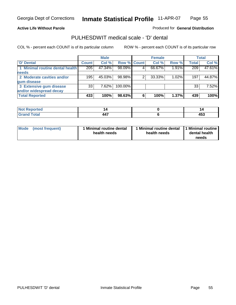#### **Active Life Without Parole**

#### Produced for **General Distribution**

### PULHESDWIT medical scale - 'D' dental

|                                 |                 | <b>Male</b> |             |   | <b>Female</b> |       |              | <b>Total</b> |
|---------------------------------|-----------------|-------------|-------------|---|---------------|-------|--------------|--------------|
| <b>D'</b> Dental                | Count           | Col %       | Row % Count |   | Col %         | Row % | <b>Total</b> | Col %        |
| 1 Minimal routine dental health | 205             | 47.34%      | 98.09%      |   | 66.67%        | 1.91% | 209          | 47.61%       |
| <b>needs</b>                    |                 |             |             |   |               |       |              |              |
| 2 Moderate cavities and/or      | 195             | 45.03%      | 98.98%      |   | 33.33%        | 1.02% | 197          | 44.87%       |
| gum disease                     |                 |             |             |   |               |       |              |              |
| 3 Extensive gum disease         | 33 <sup>1</sup> | $7.62\%$    | 100.00%     |   |               |       | 33           | 7.52%        |
| and/or widespread decay         |                 |             |             |   |               |       |              |              |
| <b>Total Reported</b>           | 433             | 100%        | 98.63%      | 6 | 100%          | 1.37% | 439          | 100%         |

| N<br>тео |                       | ''           |
|----------|-----------------------|--------------|
|          | $\overline{a}$<br>447 | 1 P A<br>453 |

| Mode (most frequent) | <b>Minimal routine dental</b><br>health needs | 1 Minimal routine dental<br>health needs | 1 Minimal routine<br>dental health<br>needs |
|----------------------|-----------------------------------------------|------------------------------------------|---------------------------------------------|
|----------------------|-----------------------------------------------|------------------------------------------|---------------------------------------------|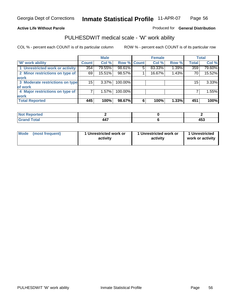### **Active Life Without Parole**

### Produced for **General Distribution**

# PULHESDWIT medical scale - 'W' work ability

|                                 |              | <b>Male</b> |             |   | <b>Female</b> |       |              | <b>Total</b> |
|---------------------------------|--------------|-------------|-------------|---|---------------|-------|--------------|--------------|
| <b>W' work ability</b>          | <b>Count</b> | Col %       | Row % Count |   | Col %         | Row % | <b>Total</b> | Col %        |
| 1 Unrestricted work or activity | 354          | 79.55%      | 98.61%      | 5 | 83.33%        | 1.39% | 359          | 79.60%       |
| 2 Minor restrictions on type of | 69           | 15.51%      | 98.57%      |   | 16.67%        | 1.43% | 70           | 15.52%       |
| <b>work</b>                     |              |             |             |   |               |       |              |              |
| 3 Moderate restrictions on type | 15           | $3.37\%$    | 100.00%     |   |               |       | 15           | 3.33%        |
| of work                         |              |             |             |   |               |       |              |              |
| 4 Major restrictions on type of |              | $1.57\%$    | 100.00%     |   |               |       |              | 1.55%        |
| <b>work</b>                     |              |             |             |   |               |       |              |              |
| <b>Total Reported</b>           | 445          | 100%        | 98.67%      | 6 | 100%          | 1.33% | 451          | 100%         |

| <b>Reported</b><br>. |                |       |
|----------------------|----------------|-------|
| <b>Total</b>         | $\overline{a}$ | 1 P A |
| r.,                  | 447            | 433   |

| Mode | (most frequent) | 1 Unrestricted work or<br>activity | 1 Unrestricted work or<br>activity | 1 Unrestricted<br>work or activity |
|------|-----------------|------------------------------------|------------------------------------|------------------------------------|
|      |                 |                                    |                                    |                                    |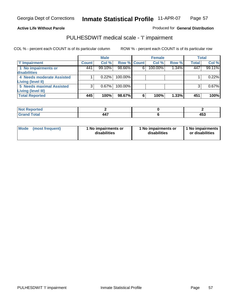# **Active Life Without Parole**

#### Produced for **General Distribution**

## PULHESDWIT medical scale - 'I' impairment

|                                 |              | <b>Male</b> |             |   | <b>Female</b> |       |              | <b>Total</b> |
|---------------------------------|--------------|-------------|-------------|---|---------------|-------|--------------|--------------|
| T' Impairment                   | <b>Count</b> | Col %       | Row % Count |   | Col %         | Row % | <b>Total</b> | Col %        |
| 1 No impairments or             | 441          | 99.10%      | 98.66%      | 6 | 100.00%       | 1.34% | 447          | 99.11%       |
| disabilities                    |              |             |             |   |               |       |              |              |
| 4 Needs moderate Assisted       |              | 0.22%       | 100.00%     |   |               |       |              | 0.22%        |
| Living (level II)               |              |             |             |   |               |       |              |              |
| <b>5 Needs maximal Assisted</b> |              | 0.67%       | 100.00%     |   |               |       |              | 0.67%        |
| <b>Living (level III)</b>       |              |             |             |   |               |       |              |              |
| <b>Total Reported</b>           | 445          | 100%        | 98.67%      | 6 | 100%          | 1.33% | 451          | 100%         |

| لمنتشر بالتعبين<br>porteg<br>N. |            |          |
|---------------------------------|------------|----------|
| otal                            | --<br>TT 1 | .<br>᠇୰៶ |

| Mode            | 1 No impairments or | 1 No impairments or | 1 No impairments |
|-----------------|---------------------|---------------------|------------------|
| (most frequent) | disabilities        | disabilities        | or disabilities  |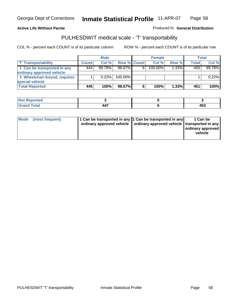#### **Inmate Statistical Profile** 11-APR-07 Page Page 58

### **Active Life Without Parole Produced fo Seneral Distribution**

### PULHESDWIT medical scale - 'T' transportability

|                              |              | <b>Male</b> |             |   | <b>Female</b> |          |       | Total  |
|------------------------------|--------------|-------------|-------------|---|---------------|----------|-------|--------|
| <b>T' Transportability</b>   | <b>Count</b> | Col%        | Row % Count |   | Col%          | Row %    | Total | Col %  |
| 1 Can be transported in any  | 444          | 99.78%      | 98.67%      | 6 | 100.00%       | $1.33\%$ | 450   | 99.78% |
| ordinary approved vehicle    |              |             |             |   |               |          |       |        |
| 3 Wheelchair-bound, requires |              | $0.22\%$    | $100.00\%$  |   |               |          |       | 0.22%  |
| special vehicle              |              |             |             |   |               |          |       |        |
| <b>Total Reported</b>        | 445          | 100%        | 98.67%      | 6 | 100%          | $1.33\%$ | 451   | 100%   |

| <b>Not Reported</b> |                          |              |
|---------------------|--------------------------|--------------|
| <b>Total</b><br>Cro | .<br>л л<br>– – <i>1</i> | 4 F A<br>433 |

| Mode | (most frequent) | 1 Can be transported in any 1 Can be transported in any | ordinary approved vehicle   ordinary approved vehicle   transported in any | 1 Can be<br>ordinary approved<br>vehicle |
|------|-----------------|---------------------------------------------------------|----------------------------------------------------------------------------|------------------------------------------|
|------|-----------------|---------------------------------------------------------|----------------------------------------------------------------------------|------------------------------------------|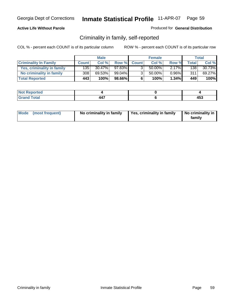#### **Active Life Without Parole**

#### Produced for **General Distribution**

## Criminality in family, self-reported

|                              |              | <b>Male</b> |        |                | <b>Female</b> |          |              | Total  |
|------------------------------|--------------|-------------|--------|----------------|---------------|----------|--------------|--------|
| <b>Criminality In Family</b> | <b>Count</b> | Col %       | Row %  | <b>Count</b>   | Col %         | Row %    | <b>Total</b> | Col %  |
| Yes, criminality in family   | 1351         | $30.47\%$   | 97.83% |                | 50.00%        | $2.17\%$ | 1381         | 30.73% |
| No criminality in family     | 308          | 69.53%      | 99.04% | 3 <sub>1</sub> | 50.00%        | $0.96\%$ | 311          | 69.27% |
| <b>Total Reported</b>        | 443          | 100%        | 98.66% | 6              | 100%          | $1.34\%$ | 449          | 100%   |

| rted<br><b>NOT</b><br><b>IVGI</b> |  |          |
|-----------------------------------|--|----------|
| $\sim$<br>Grar<br>---             |  | .<br>⊶טי |

| Mode (most frequent) |  | No criminality in family | Yes, criminality in family | No criminality in<br>family |
|----------------------|--|--------------------------|----------------------------|-----------------------------|
|----------------------|--|--------------------------|----------------------------|-----------------------------|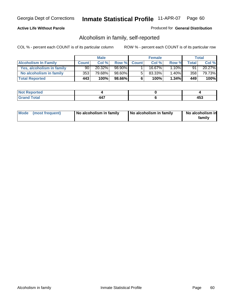#### **Active Life Without Parole**

#### Produced for **General Distribution**

## Alcoholism in family, self-reported

|                             |              | <b>Male</b> |        |              | <b>Female</b> |          |       | Total  |
|-----------------------------|--------------|-------------|--------|--------------|---------------|----------|-------|--------|
| <b>Alcoholism In Family</b> | <b>Count</b> | Col %       | Row %  | <b>Count</b> | Col %         | Row %    | Total | Col %  |
| Yes, alcoholism in family   | 90           | 20.32%      | 98.90% |              | 16.67%        | $1.10\%$ | 91    | 20.27% |
| No alcoholism in family     | 353          | 79.68%      | 98.60% |              | 83.33%        | $1.40\%$ | 358   | 79.73% |
| <b>Total Reported</b>       | 443          | 100%        | 98.66% | 6            | 100%          | $1.34\%$ | 449   | 100%   |

| rted<br><b>NO</b><br><b>IVGI</b> |                                 |        |
|----------------------------------|---------------------------------|--------|
| Total<br>Gran<br>$\sim$          | $\overline{\phantom{a}}$<br>44. | .<br>™ |

|  | Mode (most frequent) | No alcoholism in family | No alcoholism in family | No alcoholism in<br>family |
|--|----------------------|-------------------------|-------------------------|----------------------------|
|--|----------------------|-------------------------|-------------------------|----------------------------|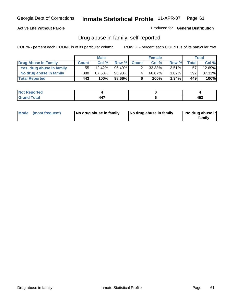#### **Active Life Without Parole**

Produced for **General Distribution**

## Drug abuse in family, self-reported

|                           |              | <b>Male</b> |        |              | <b>Female</b> |          |              | Total  |
|---------------------------|--------------|-------------|--------|--------------|---------------|----------|--------------|--------|
| Drug Abuse In Family      | <b>Count</b> | Col %       | Row %  | <b>Count</b> | Col %         | Row %    | <b>Total</b> | Col %  |
| Yes, drug abuse in family | 55           | 12.42%      | 96.49% |              | $33.33\%$     | $3.51\%$ | 57           | 12.69% |
| No drug abuse in family   | 388 l        | 87.58%      | 98.98% | 4            | 66.67%        | $1.02\%$ | 392          | 87.31% |
| <b>Total Reported</b>     | 443          | 100%        | 98.66% | 6            | 100%          | $1.34\%$ | 449          | 100%   |

| rted<br><b>NO</b><br><b>IVGI</b> |                                 |        |
|----------------------------------|---------------------------------|--------|
| Total<br>Gran<br>$\sim$          | $\overline{\phantom{a}}$<br>44. | .<br>™ |

|  | Mode (most frequent) | No drug abuse in family | No drug abuse in family | No drug abuse in<br>family |
|--|----------------------|-------------------------|-------------------------|----------------------------|
|--|----------------------|-------------------------|-------------------------|----------------------------|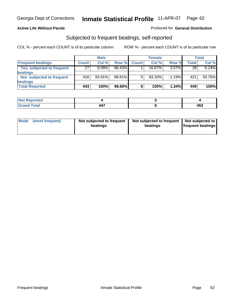#### **Active Life Without Parole**

#### Produced for **General Distribution**

### Subjected to frequent beatings, self-reported

|                            |              | <b>Male</b> |           |              | <b>Female</b> |          |       | <b>Total</b> |
|----------------------------|--------------|-------------|-----------|--------------|---------------|----------|-------|--------------|
| <b>Frequent beatings</b>   | <b>Count</b> | Col%        | Row %     | <b>Count</b> | Col%          | Row %    | Total | Col %        |
| Yes, subjected to frequent | 27           | $6.09\%$    | $96.43\%$ |              | $16.67\%$     | $3.57\%$ | 28    | 6.24%        |
| beatings                   |              |             |           |              |               |          |       |              |
| Not subjected to frequent  | 416          | $93.91\%$   | 98.81%    | 5            | 83.33%        | $1.19\%$ | 421   | 93.76%       |
| beatings                   |              |             |           |              |               |          |       |              |
| <b>Total Reported</b>      | 443          | 100%        | 98.66%    | 6            | 100%          | 1.34%    | 449   | 100%         |

| Not Reported   |     |          |
|----------------|-----|----------|
| Total<br>Crops | 447 | .<br>453 |

| Mode (most frequent) | Not subjected to frequent<br>beatings | Not subjected to frequent<br>beatings | Not subjected to<br><b>frequent beatings</b> |
|----------------------|---------------------------------------|---------------------------------------|----------------------------------------------|
|                      |                                       |                                       |                                              |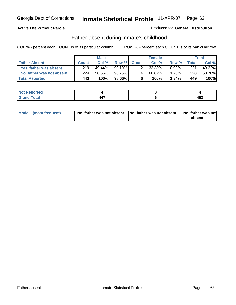#### **Active Life Without Parole**

#### Produced for **General Distribution**

## Father absent during inmate's childhood

|                           |              | <b>Male</b> |           |              | <b>Female</b> |          |       | Total  |
|---------------------------|--------------|-------------|-----------|--------------|---------------|----------|-------|--------|
| <b>Father Absent</b>      | <b>Count</b> | Col %       | Row %     | <b>Count</b> | Col %         | Row %    | Total | Col %  |
| Yes, father was absent    | 219          | 49.44%      | 99.10%    |              | 33.33%        | $0.90\%$ | 221   | 49.22% |
| No, father was not absent | 224          | 50.56%      | 98.25%    | 4            | 66.67%        | $1.75\%$ | 228   | 50.78% |
| <b>Total Reported</b>     | 443          | 100%        | $98.66\%$ | 6            | 100%          | $1.34\%$ | 449   | 100%   |

| <b>Not Reported</b>               |  |          |
|-----------------------------------|--|----------|
| <b>Fotal</b><br>Gran <sub>i</sub> |  | .<br>400 |

| Mode (most frequent) |  | absent |
|----------------------|--|--------|
|                      |  |        |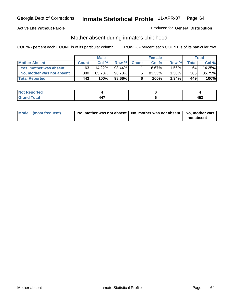#### **Active Life Without Parole**

#### Produced for **General Distribution**

# Mother absent during inmate's childhood

|                           |              | <b>Male</b> |           |              | <b>Female</b> |          |       | Total  |
|---------------------------|--------------|-------------|-----------|--------------|---------------|----------|-------|--------|
| <b>Mother Absent</b>      | <b>Count</b> | Col %       | Row %     | <b>Count</b> | Col%          | Row %    | Total | Col %  |
| Yes, mother was absent    | 63           | 14.22%      | 98.44%    |              | 16.67%        | $.56\%$  | 64    | 14.25% |
| No, mother was not absent | 380          | 85.78%      | 98.70%I   | 5            | $83.33\%$     | 1.30%    | 385   | 85.75% |
| <b>Total Reported</b>     | 443          | 100%        | $98.66\%$ | 6            | 100%          | $1.34\%$ | 449   | 100%   |

| <b>Reported</b> |                                        |          |
|-----------------|----------------------------------------|----------|
| <b>Fotal</b>    | $\overline{\phantom{a}}$<br><b>TT.</b> | .<br>433 |

| Mode (most frequent) | No, mother was not absent   No, mother was not absent   No, mother was | not absent |
|----------------------|------------------------------------------------------------------------|------------|
|----------------------|------------------------------------------------------------------------|------------|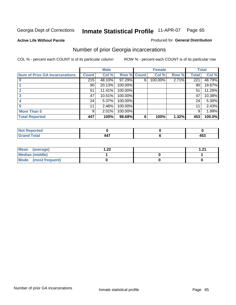**Active Life Without Parole** 

#### Produced for **General Distribution**

## Number of prior Georgia incarcerations

|                                |              | <b>Male</b> |         |              | <b>Female</b> |       |       | <b>Total</b> |
|--------------------------------|--------------|-------------|---------|--------------|---------------|-------|-------|--------------|
| Num of Prior GA Incarcerations | <b>Count</b> | Col %       | Row %   | <b>Count</b> | Col %         | Row % | Total | Col %        |
|                                | 215          | 48.10%      | 97.29%  | 6            | 100.00%       | 2.71% | 221   | 48.79%       |
|                                | 90           | 20.13%      | 100.00% |              |               |       | 90    | 19.87%       |
|                                | 51           | 11.41%      | 100.00% |              |               |       | 51    | 11.26%       |
|                                | 47           | 10.51%      | 100.00% |              |               |       | 47    | 10.38%       |
|                                | 24           | 5.37%       | 100.00% |              |               |       | 24    | 5.30%        |
|                                | 11           | 2.46%       | 100.00% |              |               |       | 11    | 2.43%        |
| <b>More Than 5</b>             | 9            | 2.01%       | 100.00% |              |               |       | 9     | 1.99%        |
| <b>Total Reported</b>          | 447          | 100%        | 98.68%  | 6            | 100%          | 1.32% | 453   | 100.0%       |

| 4 - 1<br>≺eporteal<br>N0 |                          |      |
|--------------------------|--------------------------|------|
| <b>otal</b>              | $\overline{\phantom{a}}$ | ı ra |
| $\sim$ .                 |                          | 433  |

| Mean (average)       | ົດດ | ີ |
|----------------------|-----|---|
| Median (middle)      |     |   |
| Mode (most frequent) |     |   |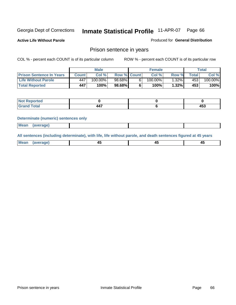**Active Life Without Parole** 

Produced for **General Distribution**

### Prison sentence in years

COL % - percent each COUNT is of its particular column ROW % - percent each COUNT is of its particular row

|                                 | Male  |            |                    | <b>Female</b> |            |         | $\mathsf{Total}$ |         |
|---------------------------------|-------|------------|--------------------|---------------|------------|---------|------------------|---------|
| <b>Prison Sentence In Years</b> | Count | Col %      | <b>Row % Count</b> |               | Col %      | Row %   | <b>Total</b>     | Col %   |
| <b>Life Without Parole</b>      | 447   | $100.00\%$ | $98.68\%$          |               | $100.00\%$ | $.32\%$ | 453              | 100.00% |
| <b>Total Reported</b>           | 447   | 100%       | 98.68%I            |               | 100%       | 1.32%   | 453              | 100%    |

| Reported         |                |       |
|------------------|----------------|-------|
| <b>cotal</b>     | $\overline{a}$ | 4 F A |
| $\mathbf{v}$ and | 447            | 400   |

#### **Determinate (numeric) sentences only**

|--|

**All sentences (including determinate), with life, life without parole, and death sentences figured at 45 years**

| Me           |         |        |              |  |
|--------------|---------|--------|--------------|--|
| mе<br>.<br>. | ᠇<br>__ | $\sim$ | т.<br>$\sim$ |  |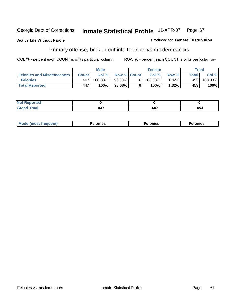#### **Active Life Without Parole**

#### Produced for **General Distribution**

# Primary offense, broken out into felonies vs misdemeanors

|                                  | <b>Male</b> |         |                    | <b>Female</b> |         |          | Total |         |
|----------------------------------|-------------|---------|--------------------|---------------|---------|----------|-------|---------|
| <b>Felonies and Misdemeanors</b> | Count l     | Col %   | <b>Row % Count</b> |               | Col%    | Row %    | Total | Col %   |
| <b>Felonies</b>                  | 447         | 100.00% | 98.68%             | 61            | 100.00% | $1.32\%$ | 453   | 100.00% |
| <b>Total Reported</b>            | 447         | 100%    | $98.68\%$          |               | 100%    | 1.32%    | 453   | 100%    |

| <b>Not Reported</b>  |                          |     |
|----------------------|--------------------------|-----|
| <b>otal</b><br>Grand | $\overline{\phantom{a}}$ | 453 |

| M <sub>0</sub><br>. | צאור<br>. | . |
|---------------------|-----------|---|
|---------------------|-----------|---|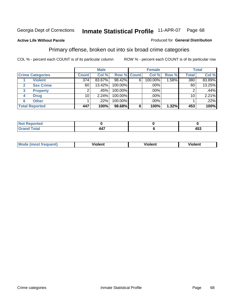#### **Active Life Without Parole**

#### Produced for **General Distribution**

## Primary offense, broken out into six broad crime categories

|                         | <b>Male</b>  |        |             | <b>Female</b> |         |       | <b>Total</b> |        |
|-------------------------|--------------|--------|-------------|---------------|---------|-------|--------------|--------|
| <b>Crime Categories</b> | <b>Count</b> | Col %  | Row % Count |               | Col %   | Row % | <b>Total</b> | Col %  |
| <b>Violent</b>          | 374          | 83.67% | 98.42%      | 6             | 100.00% | .58%  | 380          | 83.89% |
| <b>Sex Crime</b>        | 60           | 13.42% | 100.00%     |               | .00%    |       | 60           | 13.25% |
| <b>Property</b><br>3    |              | .45%   | 100.00%     |               | .00%    |       |              | .44%   |
| <b>Drug</b><br>4        | 10           | 2.24%  | 100.00%     |               | .00%    |       | 10           | 2.21%  |
| <b>Other</b><br>6       |              | .22%   | 100.00%     |               | .00%    |       |              | .22%   |
| <b>Total Reported</b>   | 447          | 100%   | 98.68%      | 6             | 100%    | 1.32% | 453          | 100%   |

| <b>Reported</b><br><b>NOT</b><br>. |                       |     |
|------------------------------------|-----------------------|-----|
| <b>Total</b><br>CHOH               | $\overline{a}$<br>44, | 453 |

| Mo | n n | winlor" | ılen' |
|----|-----|---------|-------|
|    |     |         |       |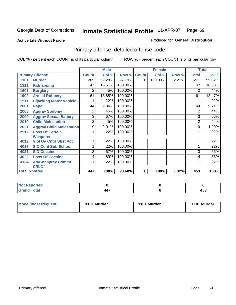#### **Active Life Without Parole**

#### Produced for **General Distribution**

# Primary offense, detailed offense code

|      |                                 |                | <b>Male</b> |         |              | <b>Female</b> |       |                | <b>Total</b> |
|------|---------------------------------|----------------|-------------|---------|--------------|---------------|-------|----------------|--------------|
|      | <b>Primary Offense</b>          | <b>Count</b>   | Col %       | Row %   | <b>Count</b> | Col %         | Row % | <b>Total</b>   | Col %        |
| 1101 | <b>Murder</b>                   | 265            | 59.28%      | 97.79%  | 6            | 100.00%       | 2.21% | 271            | 59.82%       |
| 1311 | <b>Kidnapping</b>               | 47             | 10.51%      | 100.00% |              |               |       | 47             | 10.38%       |
| 1601 | <b>Burglary</b>                 | 2              | .45%        | 100.00% |              |               |       | $\overline{2}$ | .44%         |
| 1902 | <b>Armed Robbery</b>            | 61             | 13.65%      | 100.00% |              |               |       | 61             | 13.47%       |
| 1911 | <b>Hijacking Motor Vehicle</b>  |                | .22%        | 100.00% |              |               |       |                | .22%         |
| 2001 | Rape                            | 44             | 9.84%       | 100.00% |              |               |       | 44             | 9.71%        |
| 2003 | <b>Aggrav Sodomy</b>            | 2              | .45%        | 100.00% |              |               |       | 2              | .44%         |
| 2009 | <b>Aggrav Sexual Battery</b>    | 3              | .67%        | 100.00% |              |               |       | 3              | .66%         |
| 2019 | <b>Child Molestation</b>        | $\overline{2}$ | .45%        | 100.00% |              |               |       | $\overline{2}$ | .44%         |
| 2021 | <b>Aggrav Child Molestation</b> | 9              | 2.01%       | 100.00% |              |               |       | 9              | 1.99%        |
| 2912 | <b>Poss Of Certain</b>          |                | .22%        | 100.00% |              |               |       |                | .22%         |
|      | <b>Weapons</b>                  |                |             |         |              |               |       |                |              |
| 4012 | <b>Viol Ga Cntrl Sbst Act</b>   |                | .22%        | 100.00% |              |               |       |                | .22%         |
| 4018 | <b>S/D Cont Sub School</b>      |                | .22%        | 100.00% |              |               |       |                | .22%         |
| 4021 | <b>S/D Cocaine</b>              | 3              | .67%        | 100.00% |              |               |       | 3              | .66%         |
| 4022 | <b>Poss Of Cocaine</b>          | 4              | .89%        | 100.00% |              |               |       | 4              | .88%         |
| 4134 | <b>Att/Consprcy Commt</b>       | 1              | .22%        | 100.00% |              |               |       |                | .22%         |
|      | C/S/Of                          |                |             |         |              |               |       |                |              |
|      | <b>Total Rported</b>            | 447            | 100%        | 98.68%  | 6            | 100%          | 1.32% | 453            | 100%         |

| <b>Not Reported</b> |                        |          |
|---------------------|------------------------|----------|
| <b>Total</b>        | $\overline{a}$<br>-44. | .<br>400 |

| Mode (most frequent) | 1101 Murder | 1101 Murder | 1101 Murder |
|----------------------|-------------|-------------|-------------|
|----------------------|-------------|-------------|-------------|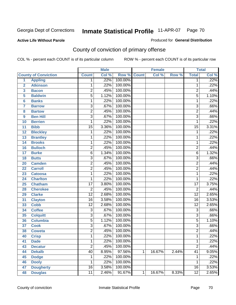#### **Active Life Without Parole**

### Produced for **General Distribution**

# County of conviction of primary offense

|                |                             |                 | <b>Male</b> |         |              | <b>Female</b> |       |                 | <b>Total</b>               |
|----------------|-----------------------------|-----------------|-------------|---------|--------------|---------------|-------|-----------------|----------------------------|
|                | <b>County of Conviction</b> | <b>Count</b>    | Col %       | Row %   | <b>Count</b> | Col %         | Row % | <b>Total</b>    | $\overline{\text{Col }\%}$ |
| 1              | <b>Appling</b>              | 1               | .22%        | 100.00% |              |               |       | 1               | .22%                       |
| $\overline{2}$ | <b>Atkinson</b>             | 1               | .22%        | 100.00% |              |               |       | 1               | .22%                       |
| 3              | <b>Bacon</b>                | $\overline{2}$  | .45%        | 100.00% |              |               |       | $\overline{2}$  | .44%                       |
| 5              | <b>Baldwin</b>              | $\overline{5}$  | 1.12%       | 100.00% |              |               |       | $\overline{5}$  | 1.10%                      |
| 6              | <b>Banks</b>                | 1               | .22%        | 100.00% |              |               |       | 1               | .22%                       |
| $\overline{7}$ | <b>Barrow</b>               | 3               | .67%        | 100.00% |              |               |       | $\overline{3}$  | .66%                       |
| 8              | <b>Bartow</b>               | $\overline{2}$  | .45%        | 100.00% |              |               |       | $\overline{2}$  | .44%                       |
| 9              | <b>Ben Hill</b>             | $\overline{3}$  | .67%        | 100.00% |              |               |       | $\overline{3}$  | .66%                       |
| 10             | <b>Berrien</b>              | 1               | .22%        | 100.00% |              |               |       | 1               | .22%                       |
| 11             | <b>Bibb</b>                 | $\overline{15}$ | 3.36%       | 100.00% |              |               |       | $\overline{15}$ | 3.31%                      |
| 12             | <b>Bleckley</b>             | 1               | .22%        | 100.00% |              |               |       | 1               | .22%                       |
| 13             | <b>Brantley</b>             | 1               | .22%        | 100.00% |              |               |       | 1               | .22%                       |
| 14             | <b>Brooks</b>               | 1               | .22%        | 100.00% |              |               |       | 1               | .22%                       |
| 16             | <b>Bulloch</b>              | $\overline{2}$  | .45%        | 100.00% |              |               |       | $\overline{2}$  | .44%                       |
| 17             | <b>Burke</b>                | $\overline{6}$  | 1.34%       | 100.00% |              |               |       | 6               | 1.32%                      |
| 18             | <b>Butts</b>                | $\overline{3}$  | .67%        | 100.00% |              |               |       | $\overline{3}$  | .66%                       |
| 20             | <b>Camden</b>               | $\overline{2}$  | .45%        | 100.00% |              |               |       | $\overline{2}$  | .44%                       |
| 22             | <b>Carroll</b>              | $\overline{2}$  | .45%        | 100.00% |              |               |       | $\overline{2}$  | .44%                       |
| 23             | <b>Catoosa</b>              | 1               | .22%        | 100.00% |              |               |       | 1               | .22%                       |
| 24             | <b>Charlton</b>             | 1               | .22%        | 100.00% |              |               |       | 1               | .22%                       |
| 25             | <b>Chatham</b>              | $\overline{17}$ | 3.80%       | 100.00% |              |               |       | $\overline{17}$ | 3.75%                      |
| 28             | <b>Cherokee</b>             | $\overline{2}$  | .45%        | 100.00% |              |               |       | $\overline{2}$  | .44%                       |
| 29             | <b>Clarke</b>               | $\overline{12}$ | 2.68%       | 100.00% |              |               |       | $\overline{12}$ | 2.65%                      |
| 31             | <b>Clayton</b>              | $\overline{16}$ | 3.58%       | 100.00% |              |               |       | $\overline{16}$ | 3.53%                      |
| 33             | <b>Cobb</b>                 | $\overline{12}$ | 2.68%       | 100.00% |              |               |       | $\overline{12}$ | 2.65%                      |
| 34             | <b>Coffee</b>               | 3               | .67%        | 100.00% |              |               |       | $\overline{3}$  | .66%                       |
| 35             | <b>Colquitt</b>             | $\overline{3}$  | .67%        | 100.00% |              |               |       | $\overline{3}$  | .66%                       |
| 36             | <b>Columbia</b>             | $\overline{5}$  | 1.12%       | 100.00% |              |               |       | $\overline{5}$  | 1.10%                      |
| 37             | <b>Cook</b>                 | $\overline{3}$  | .67%        | 100.00% |              |               |       | $\overline{3}$  | .66%                       |
| 38             | <b>Coweta</b>               | $\overline{2}$  | .45%        | 100.00% |              |               |       | $\overline{2}$  | .44%                       |
| 40             | <b>Crisp</b>                | 1               | .22%        | 100.00% |              |               |       | 1               | .22%                       |
| 41             | <b>Dade</b>                 | 1               | .22%        | 100.00% |              |               |       | 1               | .22%                       |
| 43             | <b>Decatur</b>              | $\overline{2}$  | .45%        | 100.00% |              |               |       | $\overline{2}$  | .44%                       |
| 44             | <b>Dekalb</b>               | 40              | 8.95%       | 97.56%  | $\mathbf{1}$ | 16.67%        | 2.44% | $\overline{41}$ | 9.05%                      |
| 45             | <b>Dodge</b>                | 1               | .22%        | 100.00% |              |               |       | 1               | .22%                       |
| 46             | <b>Dooly</b>                | 1               | .22%        | 100.00% |              |               |       | 1               | .22%                       |
| 47             | <b>Dougherty</b>            | $\overline{16}$ | 3.58%       | 100.00% |              |               |       | 16              | 3.53%                      |
| 48             | <b>Douglas</b>              | $\overline{11}$ | 2.46%       | 91.67%  | 1            | 16.67%        | 8.33% | $\overline{12}$ | 2.65%                      |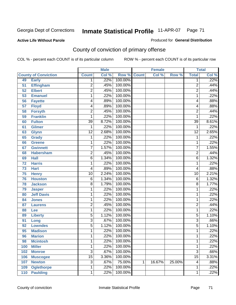**Active Life Without Parole** 

Produced for **General Distribution**

# County of conviction of primary offense

|     |                             |                 | <b>Male</b> |             |   | <b>Female</b> |        |                 | <b>Total</b> |
|-----|-----------------------------|-----------------|-------------|-------------|---|---------------|--------|-----------------|--------------|
|     | <b>County of Conviction</b> | <b>Count</b>    | Col %       | Row % Count |   | Col %         | Row %  | <b>Total</b>    | Col %        |
| 49  | <b>Early</b>                | 1               | .22%        | 100.00%     |   |               |        | 1               | .22%         |
| 51  | <b>Effingham</b>            | $\overline{c}$  | .45%        | 100.00%     |   |               |        | $\overline{2}$  | .44%         |
| 52  | <b>Elbert</b>               | $\overline{2}$  | .45%        | 100.00%     |   |               |        | $\overline{2}$  | .44%         |
| 53  | <b>Emanuel</b>              | 1               | .22%        | 100.00%     |   |               |        | 1               | .22%         |
| 56  | <b>Fayette</b>              | 4               | .89%        | 100.00%     |   |               |        | 4               | .88%         |
| 57  | <b>Floyd</b>                | 4               | .89%        | 100.00%     |   |               |        | 4               | .88%         |
| 58  | <b>Forsyth</b>              | $\overline{2}$  | .45%        | 100.00%     |   |               |        | $\overline{2}$  | .44%         |
| 59  | <b>Franklin</b>             | 1               | .22%        | 100.00%     |   |               |        | 1               | .22%         |
| 60  | <b>Fulton</b>               | $\overline{39}$ | 8.72%       | 100.00%     |   |               |        | $\overline{39}$ | 8.61%        |
| 61  | <b>Gilmer</b>               | 1               | .22%        | 100.00%     |   |               |        | 1               | .22%         |
| 63  | <b>Glynn</b>                | $\overline{12}$ | 2.68%       | 100.00%     |   |               |        | $\overline{12}$ | 2.65%        |
| 65  | <b>Grady</b>                | 1               | .22%        | 100.00%     |   |               |        | $\mathbf 1$     | .22%         |
| 66  | <b>Greene</b>               | 1               | .22%        | 100.00%     |   |               |        | 1               | .22%         |
| 67  | <b>Gwinnett</b>             | $\overline{7}$  | 1.57%       | 100.00%     |   |               |        | $\overline{7}$  | 1.55%        |
| 68  | <b>Habersham</b>            | $\overline{2}$  | .45%        | 100.00%     |   |               |        | $\overline{2}$  | .44%         |
| 69  | <b>Hall</b>                 | $\overline{6}$  | 1.34%       | 100.00%     |   |               |        | 6               | 1.32%        |
| 72  | <b>Harris</b>               | 1               | .22%        | 100.00%     |   |               |        | 1               | .22%         |
| 73  | <b>Hart</b>                 | 4               | .89%        | 100.00%     |   |               |        | 4               | .88%         |
| 75  | <b>Henry</b>                | $\overline{10}$ | 2.24%       | 100.00%     |   |               |        | $\overline{10}$ | 2.21%        |
| 76  | <b>Houston</b>              | $\,6$           | 1.34%       | 100.00%     |   |               |        | $\,6$           | 1.32%        |
| 78  | <b>Jackson</b>              | $\overline{8}$  | 1.79%       | 100.00%     |   |               |        | 8               | 1.77%        |
| 79  | <b>Jasper</b>               | 1               | .22%        | 100.00%     |   |               |        | 1               | .22%         |
| 80  | <b>Jeff Davis</b>           | 1               | .22%        | 100.00%     |   |               |        | 1               | .22%         |
| 84  | <b>Jones</b>                | 1               | .22%        | 100.00%     |   |               |        | 1               | .22%         |
| 87  | <b>Laurens</b>              | $\overline{2}$  | .45%        | 100.00%     |   |               |        | $\overline{2}$  | .44%         |
| 88  | Lee                         | 1               | .22%        | 100.00%     |   |               |        | 1               | .22%         |
| 89  | <b>Liberty</b>              | 5               | 1.12%       | 100.00%     |   |               |        | 5               | 1.10%        |
| 91  | Long                        | 3               | .67%        | 100.00%     |   |               |        | 3               | .66%         |
| 92  | <b>Lowndes</b>              | $\overline{5}$  | 1.12%       | 100.00%     |   |               |        | $\overline{5}$  | 1.10%        |
| 95  | <b>Madison</b>              | 1               | .22%        | 100.00%     |   |               |        | 1               | .22%         |
| 96  | <b>Marion</b>               | 1               | .22%        | 100.00%     |   |               |        | 1               | .22%         |
| 98  | <b>Mcintosh</b>             | 1               | .22%        | 100.00%     |   |               |        | 1               | .22%         |
| 100 | <b>Miller</b>               | 1               | .22%        | 100.00%     |   |               |        | 1               | .22%         |
| 102 | <b>Monroe</b>               | $\overline{3}$  | .67%        | 100.00%     |   |               |        | $\overline{3}$  | .66%         |
| 106 | <b>Muscogee</b>             | $\overline{15}$ | 3.36%       | 100.00%     |   |               |        | $\overline{15}$ | 3.31%        |
| 107 | <b>Newton</b>               | 3               | .67%        | 75.00%      | 1 | 16.67%        | 25.00% | 4               | .88%         |
| 109 | <b>Oglethorpe</b>           | 1               | .22%        | 100.00%     |   |               |        | 1               | .22%         |
| 110 | <b>Paulding</b>             | $\mathbf{1}$    | .22%        | 100.00%     |   |               |        | 1               | .22%         |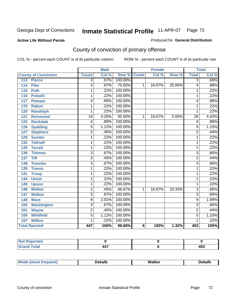#### **Active Life Without Parole**

#### Produced for **General Distribution**

# County of conviction of primary offense

|                                     |                         | <b>Male</b> |                    |   | <b>Female</b> |        |                 | <b>Total</b> |
|-------------------------------------|-------------------------|-------------|--------------------|---|---------------|--------|-----------------|--------------|
| <b>County of Conviction</b>         | <b>Count</b>            | Col %       | <b>Row % Count</b> |   | Col %         | Row %  | <b>Total</b>    | Col %        |
| 113<br><b>Pierce</b>                | $\overline{3}$          | .67%        | 100.00%            |   |               |        | $\overline{3}$  | .66%         |
| <b>Pike</b><br>114                  | $\overline{3}$          | .67%        | 75.00%             | 1 | 16.67%        | 25.00% | 4               | .88%         |
| $\overline{115}$<br><b>Polk</b>     | 1                       | .22%        | 100.00%            |   |               |        | 1               | .22%         |
| <b>Pulaski</b><br>116               | 1                       | .22%        | 100.00%            |   |               |        | 1               | .22%         |
| 117<br><b>Putnam</b>                | 4                       | .89%        | 100.00%            |   |               |        | 4               | .88%         |
| <b>Rabun</b><br>119                 | 1                       | .22%        | 100.00%            |   |               |        | 1               | .22%         |
| <b>Randolph</b><br>120              | 1                       | .22%        | 100.00%            |   |               |        | 1               | .22%         |
| $\overline{121}$<br><b>Richmond</b> | $\overline{19}$         | 4.25%       | 95.00%             | 1 | 16.67%        | 5.00%  | $\overline{20}$ | 4.42%        |
| <b>Rockdale</b><br>122              | 4                       | .89%        | 100.00%            |   |               |        | 4               | .88%         |
| <b>Spalding</b><br>126              | $\overline{5}$          | 1.12%       | 100.00%            |   |               |        | 5               | 1.10%        |
| <b>Stephens</b><br>127              | $\overline{2}$          | .45%        | 100.00%            |   |               |        | $\overline{2}$  | .44%         |
| <b>Sumter</b><br>129                | 1                       | .22%        | 100.00%            |   |               |        | 1               | .22%         |
| 132<br><b>Tattnall</b>              | 1                       | .22%        | 100.00%            |   |               |        | 1               | .22%         |
| <b>Terrell</b><br>135               | 1                       | .22%        | 100.00%            |   |               |        | 1               | .22%         |
| <b>Thomas</b><br>136                | $\overline{3}$          | .67%        | 100.00%            |   |               |        | 3               | .66%         |
| <b>Tift</b><br>137                  | $\overline{2}$          | .45%        | 100.00%            |   |               |        | $\overline{2}$  | .44%         |
| <b>Toombs</b><br>138                | $\overline{\mathbf{3}}$ | .67%        | 100.00%            |   |               |        | $\overline{3}$  | .66%         |
| 139<br><b>Towns</b>                 | 1                       | .22%        | 100.00%            |   |               |        | 1               | .22%         |
| 141<br><b>Troup</b>                 | 1                       | .22%        | 100.00%            |   |               |        | 1               | .22%         |
| 144<br><b>Union</b>                 | 1                       | .22%        | 100.00%            |   |               |        | 1               | .22%         |
| 145<br><b>Upson</b>                 | 1                       | .22%        | 100.00%            |   |               |        | 1               | .22%         |
| <b>Walker</b><br>146                | $\overline{2}$          | .45%        | 66.67%             | 1 | 16.67%        | 33.33% | $\overline{3}$  | .66%         |
| 147<br><b>Walton</b>                | $\overline{3}$          | .67%        | 100.00%            |   |               |        | $\overline{3}$  | .66%         |
| <b>Ware</b><br>148                  | $\overline{9}$          | 2.01%       | 100.00%            |   |               |        | $\overline{9}$  | 1.99%        |
| 150<br><b>Washington</b>            | 3                       | .67%        | 100.00%            |   |               |        | 3               | .66%         |
| <b>Wayne</b><br>151                 | $\overline{2}$          | .45%        | 100.00%            |   |               |        | $\overline{2}$  | .44%         |
| <b>Whitfield</b><br>155             | $\overline{5}$          | 1.12%       | 100.00%            |   |               |        | $\overline{5}$  | 1.10%        |
| 157<br><b>Wilkes</b>                | 1                       | .22%        | 100.00%            |   |               |        | 1               | .22%         |
| <b>Total Rported</b>                | 447                     | 100%        | 98.68%             | 6 | 100%          | 1.32%  | 453             | 100%         |

| eported<br>TV. |     |         |
|----------------|-----|---------|
| int            | 447 | .<br>יי |

| M | AN C |  |
|---|------|--|
|   |      |  |
|   |      |  |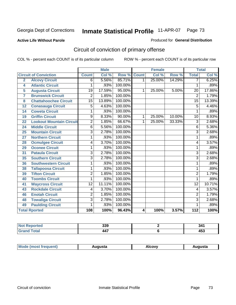#### **Active Life Without Parole**

#### Produced for **General Distribution**

# Circuit of conviction of primary offense

|                |                                 |                 | <b>Male</b> |         |              | <b>Female</b> |        | <b>Total</b>    |        |
|----------------|---------------------------------|-----------------|-------------|---------|--------------|---------------|--------|-----------------|--------|
|                | <b>Circuit of Conviction</b>    | <b>Count</b>    | Col %       | Row %   | <b>Count</b> | Col %         | Row %  | <b>Total</b>    | Col %  |
| $\overline{2}$ | <b>Alcovy Circuit</b>           | 6               | 5.56%       | 85.71%  | 1            | 25.00%        | 14.29% | 7               | 6.25%  |
| 4              | <b>Atlantic Circuit</b>         | 1               | .93%        | 100.00% |              |               |        | 1               | .89%   |
| 5              | <b>Augusta Circuit</b>          | $\overline{19}$ | 17.59%      | 95.00%  | 1            | 25.00%        | 5.00%  | $\overline{20}$ | 17.86% |
| $\overline{7}$ | <b>Brunswick Circuit</b>        | $\overline{2}$  | 1.85%       | 100.00% |              |               |        | $\overline{2}$  | 1.79%  |
| 8              | <b>Chattahoochee Circuit</b>    | 15              | 13.89%      | 100.00% |              |               |        | 15              | 13.39% |
| 12             | <b>Conasauga Circuit</b>        | $\overline{5}$  | 4.63%       | 100.00% |              |               |        | 5               | 4.46%  |
| 14             | <b>Coweta Circuit</b>           | 1               | .93%        | 100.00% |              |               |        | 1               | .89%   |
| 19             | <b>Griffin Circuit</b>          | 9               | 8.33%       | 90.00%  | 1            | 25.00%        | 10.00% | 10              | 8.93%  |
| 22             | <b>Lookout Mountain Circuit</b> | $\overline{2}$  | 1.85%       | 66.67%  | 1            | 25.00%        | 33.33% | $\overline{3}$  | 2.68%  |
| 24             | <b>Middle Circuit</b>           | 6               | 5.56%       | 100.00% |              |               |        | 6               | 5.36%  |
| 25             | <b>Mountain Circuit</b>         | 3               | 2.78%       | 100.00% |              |               |        | 3               | 2.68%  |
| 27             | <b>Northern Circuit</b>         | 1               | .93%        | 100.00% |              |               |        | 1               | .89%   |
| 28             | <b>Ocmulgee Circuit</b>         | 4               | 3.70%       | 100.00% |              |               |        | 4               | 3.57%  |
| 29             | <b>Oconee Circuit</b>           | 1               | .93%        | 100.00% |              |               |        | 1               | .89%   |
| 31             | <b>Pataula Circuit</b>          | $\overline{3}$  | 2.78%       | 100.00% |              |               |        | $\overline{3}$  | 2.68%  |
| 35             | <b>Southern Circuit</b>         | $\overline{3}$  | 2.78%       | 100.00% |              |               |        | $\overline{3}$  | 2.68%  |
| 36             | <b>Southwestern Circuit</b>     | 1               | .93%        | 100.00% |              |               |        | 1               | .89%   |
| 38             | <b>Tallapoosa Circuit</b>       | 1               | .93%        | 100.00% |              |               |        | 1               | .89%   |
| 39             | <b>Tifton Circuit</b>           | $\overline{2}$  | 1.85%       | 100.00% |              |               |        | $\overline{2}$  | 1.79%  |
| 40             | <b>Toombs Circuit</b>           | 1               | .93%        | 100.00% |              |               |        | 1               | .89%   |
| 41             | <b>Waycross Circuit</b>         | $\overline{12}$ | 11.11%      | 100.00% |              |               |        | $\overline{12}$ | 10.71% |
| 43             | <b>Rockdale Circuit</b>         | 4               | 3.70%       | 100.00% |              |               |        | 4               | 3.57%  |
| 46             | <b>Enotah Circuit</b>           | $\overline{2}$  | 1.85%       | 100.00% |              |               |        | $\overline{2}$  | 1.79%  |
| 48             | <b>Towaliga Circuit</b>         | $\overline{3}$  | 2.78%       | 100.00% |              |               |        | $\overline{3}$  | 2.68%  |
| 49             | <b>Paulding Circuit</b>         | 1               | .93%        | 100.00% |              |               |        | 1               | .89%   |
|                | <b>Total Rported</b>            | 108             | 100%        | 96.43%  | 4            | 100%          | 3.57%  | 112             | 100%   |

| orted        | 339      | 341               |
|--------------|----------|-------------------|
| <b>cotal</b> | .<br>447 | <b>AE?</b><br>→ ט |

| Mode (most frequent) | Augusta | Alcovv | Auɑusta |
|----------------------|---------|--------|---------|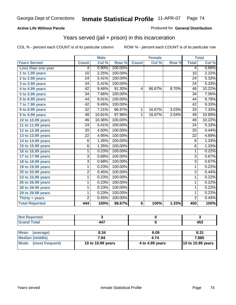### **Active Life Without Parole**

#### Produced for **General Distribution**

## Years served (jail + prison) in this incarceration

|                       |                 | <b>Male</b> |         |                | <b>Female</b> |       | <b>Total</b>    |        |
|-----------------------|-----------------|-------------|---------|----------------|---------------|-------|-----------------|--------|
| <b>Years Served</b>   | <b>Count</b>    | Col %       | Row %   | <b>Count</b>   | Col %         | Row % | <b>Total</b>    | Col %  |
| Less than one year    | 4               | 0.90%       | 100.00% |                |               |       | 4               | 0.89%  |
| 1 to 1.99 years       | 10              | 2.25%       | 100.00% |                |               |       | 10              | 2.22%  |
| 2 to 2.99 years       | $\overline{24}$ | 5.41%       | 100.00% |                |               |       | $\overline{24}$ | 5.33%  |
| 3 to 3.99 years       | $\overline{24}$ | 5.41%       | 100.00% |                |               |       | $\overline{24}$ | 5.33%  |
| 4 to 4.99 years       | $\overline{42}$ | 9.46%       | 91.30%  | $\overline{4}$ | 66.67%        | 8.70% | $\overline{46}$ | 10.22% |
| 5 to 5.99 years       | $\overline{34}$ | 7.66%       | 100.00% |                |               |       | $\overline{34}$ | 7.56%  |
| 6 to 6.99 years       | 44              | 9.91%       | 100.00% |                |               |       | 44              | 9.78%  |
| 7 to 7.99 years       | $\overline{42}$ | 9.46%       | 100.00% |                |               |       | $\overline{42}$ | 9.33%  |
| 8 to 8.99 years       | $\overline{32}$ | 7.21%       | 96.97%  | $\overline{1}$ | 16.67%        | 3.03% | $\overline{33}$ | 7.33%  |
| 9 to 9.99 years       | $\overline{48}$ | 10.81%      | 97.96%  | 1              | 16.67%        | 2.04% | 49              | 10.89% |
| 10 to 10.99 years     | 46              | 10.36%      | 100.00% |                |               |       | 46              | 10.22% |
| 11 to 11.99 years     | $\overline{24}$ | 5.41%       | 100.00% |                |               |       | $\overline{24}$ | 5.33%  |
| 12 to 12.99 years     | 20              | 4.50%       | 100.00% |                |               |       | 20              | 4.44%  |
| 13 to 13.99 years     | $\overline{22}$ | 4.95%       | 100.00% |                |               |       | $\overline{22}$ | 4.89%  |
| 14 to 14.99 years     | 6               | 1.35%       | 100.00% |                |               |       | 6               | 1.33%  |
| 15 to 15.99 years     | $\overline{6}$  | 1.35%       | 100.00% |                |               |       | $\overline{6}$  | 1.33%  |
| 16 to 16.99 years     | $\overline{1}$  | 0.23%       | 100.00% |                |               |       | $\overline{1}$  | 0.22%  |
| 17 to 17.99 years     | $\overline{3}$  | 0.68%       | 100.00% |                |               |       | $\overline{3}$  | 0.67%  |
| 18 to 18.99 years     | $\overline{3}$  | 0.68%       | 100.00% |                |               |       | $\overline{3}$  | 0.67%  |
| 19 to 19.99 years     | 1               | 0.23%       | 100.00% |                |               |       | $\mathbf{1}$    | 0.22%  |
| 20 to 20.99 years     | 2               | 0.45%       | 100.00% |                |               |       | $\overline{2}$  | 0.44%  |
| 23 to 23.99 years     | 1               | 0.23%       | 100.00% |                |               |       | 1               | 0.22%  |
| 26 to 26.99 years     | 1               | 0.23%       | 100.00% |                |               |       | 1               | 0.22%  |
| 28 to 28.99 years     | 1               | 0.23%       | 100.00% |                |               |       | 1               | 0.22%  |
| 29 to 29.99 years     | 1               | 0.23%       | 100.00% |                |               |       | $\mathbf 1$     | 0.22%  |
| Thirty + years        | $\overline{2}$  | 0.45%       | 100.00% |                |               |       | $\overline{2}$  | 0.44%  |
| <b>Total Reported</b> | 444             | 100%        | 98.67%  | 6              | 100%          | 1.33% | 450             | 100%   |

| <b>Not Reported</b>            |                   |                 |                   |
|--------------------------------|-------------------|-----------------|-------------------|
| <b>Grand Total</b>             | 447               |                 | 453               |
|                                |                   |                 |                   |
| <b>Mean</b><br>(average)       | 8.34              | 6.09            | 8.31              |
| Median (middle)                | 7.94              | 4.74            | 7.885             |
| <b>Mode</b><br>(most frequent) | 10 to 10.99 years | 4 to 4.99 years | 10 to 10.99 years |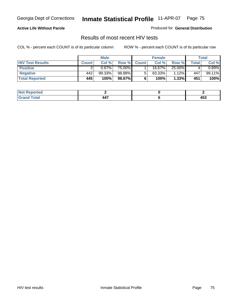### **Active Life Without Parole**

Produced for **General Distribution**

## Results of most recent HIV tests

|                         | <b>Male</b>  |        | <b>Female</b> |              |        | Total  |       |          |
|-------------------------|--------------|--------|---------------|--------------|--------|--------|-------|----------|
| <b>HIV Test Results</b> | <b>Count</b> | Col %  | Row %         | <b>Count</b> | Col %  | Row %  | Total | Col %    |
| <b>Positive</b>         |              | 0.67%  | 75.00%        |              | 16.67% | 25.00% |       | $0.89\%$ |
| <b>Negative</b>         | 442          | 99.33% | 98.88%        |              | 83.33% | 1.12%  | 447   | 99.11%   |
| <b>Total Reported</b>   | 445          | 100%   | 98.67%        |              | 100%   | 1.33%  | 451   | 100%     |

| <b>Reported</b><br>' NOT |                |              |
|--------------------------|----------------|--------------|
| <b>Total</b>             | $\overline{a}$ | 1 P A<br>᠇৩ᡂ |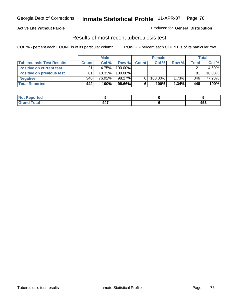### **Active Life Without Parole**

#### Produced for **General Distribution**

## Results of most recent tuberculosis test

|                                  | <b>Male</b>  |        | <b>Female</b> |              |         | Total |       |          |
|----------------------------------|--------------|--------|---------------|--------------|---------|-------|-------|----------|
| <b>Tuberculosis Test Results</b> | <b>Count</b> | Col%   | Row %         | <b>Count</b> | Col%    | Row % | Total | Col %    |
| <b>Positive on current test</b>  | 21           | 4.75%  | 100.00%       |              |         |       | 21    | $4.69\%$ |
| <b>Positive on previous test</b> | 81           | 18.33% | 100.00%       |              |         |       | 81    | 18.08%   |
| <b>Negative</b>                  | 340          | 76.92% | 98.27%        | 6.           | 100.00% | 1.73% | 346   | 77.23%   |
| <b>Total Reported</b>            | 442          | 100%   | 98.66%        | 6            | 100%    | 1.34% | 448   | 100%     |

| <b>Reported</b><br><b>NOT</b> |                          |     |
|-------------------------------|--------------------------|-----|
| <b>Total</b>                  | .<br>n r<br>- - <i>1</i> | 453 |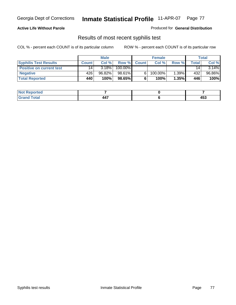### **Active Life Without Parole**

Produced for **General Distribution**

## Results of most recent syphilis test

|                                 | <b>Male</b>  |           | <b>Female</b> |              |            | Total |       |          |
|---------------------------------|--------------|-----------|---------------|--------------|------------|-------|-------|----------|
| <b>Syphilis Test Results</b>    | <b>Count</b> | Col %     | Row %         | <b>Count</b> | Col %      | Row % | Total | Col %    |
| <b>Positive on current test</b> | 14           | 3.18%     | 100.00%       |              |            |       | 14    | $3.14\%$ |
| <b>Negative</b>                 | 426          | $96.82\%$ | 98.61%        |              | $100.00\%$ | 1.39% | 432   | 96.86%   |
| <b>Total Reported</b>           | 440          | 100%      | 98.65%        |              | 100%       | 1.35% | 446   | 100%     |

| <b>Not Reported</b> |   |          |
|---------------------|---|----------|
| <b>Total</b>        | . | .<br>400 |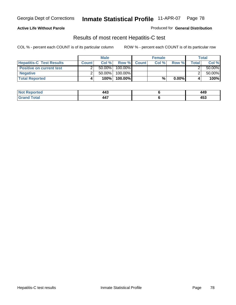### **Active Life Without Parole**

Produced for **General Distribution**

## Results of most recent Hepatitis-C test

|                                 | <b>Male</b>  |           | <b>Female</b> |             |       | <b>Total</b> |       |        |
|---------------------------------|--------------|-----------|---------------|-------------|-------|--------------|-------|--------|
| <b>Hepatitis-C Test Results</b> | <b>Count</b> | Col%      |               | Row % Count | Col % | Row %        | Total | Col %  |
| <b>Positive on current test</b> |              | $50.00\%$ | 100.00%       |             |       |              |       | 50.00% |
| <b>Negative</b>                 |              | $50.00\%$ | 100.00%       |             |       |              |       | 50.00% |
| <b>Total Reported</b>           |              | 100%      | 100.00%       |             | %     | $0.00\%$     |       | 100%   |

| <b>Not F</b><br>: Reported | $\Lambda \Lambda^{\sigma}$<br>ᆩ                       | 449      |
|----------------------------|-------------------------------------------------------|----------|
| <b>Cotal</b><br>-Grati     | $\overline{a}$<br>л л<br>— т.<br>$\sim$ $\sim$ $\sim$ | .<br>433 |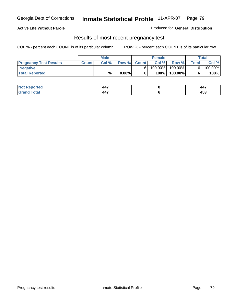#### **Active Life Without Parole**

Produced for **General Distribution**

### Results of most recent pregnancy test

|                               |              | <b>Male</b> |          |              | <b>Female</b> |         |       | <b>Total</b> |
|-------------------------------|--------------|-------------|----------|--------------|---------------|---------|-------|--------------|
| <b>Pregnancy Test Results</b> | <b>Count</b> | Col%        | Row %    | <b>Count</b> | Col %         | Row %   | Total | Col %        |
| <b>Negative</b>               |              |             |          |              | $100.00\%$    | 100.00% |       | 100.00%      |
| <b>Total Reported</b>         |              | $\%$        | $0.00\%$ |              | 100%।         | 100.00% |       | 100%         |

| orted      | $AA^-$<br><b>тт.</b><br>- - - | $\overline{a}$<br>447 |
|------------|-------------------------------|-----------------------|
| <b>ota</b> | .<br>л л<br>77 L              | .<br>400              |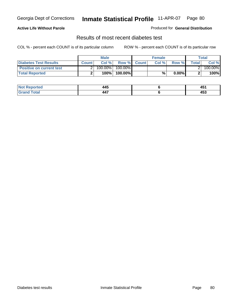### **Active Life Without Parole**

#### Produced for **General Distribution**

## Results of most recent diabetes test

|                                 |              | <b>Male</b> |            |             | <b>Female</b> |          |              | Total   |
|---------------------------------|--------------|-------------|------------|-------------|---------------|----------|--------------|---------|
| <b>Diabetes Test Results</b>    | <b>Count</b> | Col %       |            | Row % Count | Col%          | Row %    | <b>Total</b> | Col %   |
| <b>Positive on current test</b> |              | 100.00%     | $100.00\%$ |             |               |          |              | 100.00% |
| <b>Total Reported</b>           |              | 100%        | 100.00%    |             | %,            | $0.00\%$ |              | 100%    |

| Reported<br><b>NOT</b> | <b>AAF</b>             | AF.<br>᠇ᡂ |
|------------------------|------------------------|-----------|
| <b>c</b> otal          | .<br>л г<br><b>TTI</b> | 453       |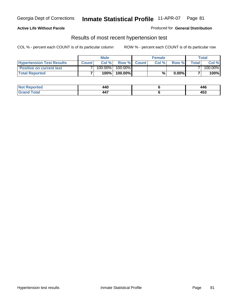### **Active Life Without Parole**

#### Produced for **General Distribution**

### Results of most recent hypertension test

|                                  |              | <b>Male</b> |            |             | <b>Female</b> |          |        | <b>Total</b> |
|----------------------------------|--------------|-------------|------------|-------------|---------------|----------|--------|--------------|
| <b>Hypertension Test Results</b> | <b>Count</b> | Col %       |            | Row % Count | Col%          | Row %    | Totall | Col %        |
| <b>Positive on current test</b>  |              | 100.00%     | $100.00\%$ |             |               |          |        | 100.00%      |
| <b>Total Reported</b>            |              | 100%        | 100.00%    |             | %             | $0.00\%$ |        | 100%         |

| रeported       | 440                    | 446      |
|----------------|------------------------|----------|
| 'otal<br>_____ | .<br>л л<br><b>TT.</b> | .<br>433 |